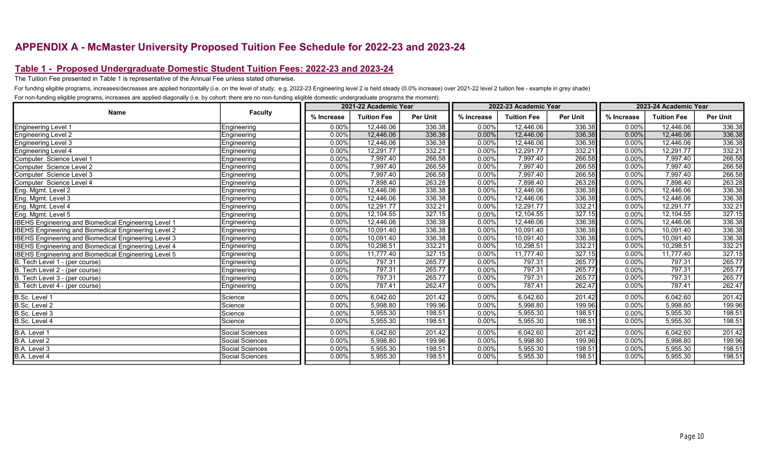# APPENDIX A - McMaster University Proposed Tuition Fee Schedule for 2022-23 and 2023-24

### Table 1 - Proposed Undergraduate Domestic Student Tuition Fees: 2022-23 and 2023-24

The Tuition Fee presented in Table 1 is representative of the Annual Fee unless stated otherwise.

For funding eligible programs, increases/decreases are applied horizontally (i.e. on the level of study; e.g. 2022-23 Engineering level 2 is held steady (0.0% increase) over 2021-22 level 2 tuition fee - example in grey sh

For non-funding eligible programs, increases are applied diagonally (i.e. by cohort; there are no non-funding eligible domestic undergraduate programs the moment).

|                                                             |                    |            | 2021-22 Academic Year |          |            | 2022-23 Academic Year |          | 2023-24 Academic Year |                    |                 |  |
|-------------------------------------------------------------|--------------------|------------|-----------------------|----------|------------|-----------------------|----------|-----------------------|--------------------|-----------------|--|
| <b>Name</b>                                                 | <b>Faculty</b>     | % Increase | <b>Tuition Fee</b>    | Per Unit | % Increase | <b>Tuition Fee</b>    | Per Unit | % Increase            | <b>Tuition Fee</b> | <b>Per Unit</b> |  |
| <b>Engineering Level 1</b>                                  | <b>Engineering</b> | 0.00%      | 12,446.06             | 336.38   | 0.00%      | 12,446.06             | 336.38   | $0.00\%$              | 12,446.06          | 336.38          |  |
| <b>Engineering Level 2</b>                                  | Engineering        | 0.00%      | 12,446.06             | 336.38   | 0.00%      | 12,446.06             | 336.38   | 0.00%                 | 12,446.06          | 336.38          |  |
| <b>Engineering Level 3</b>                                  | Engineering        | 0.00%      | 12,446.06             | 336.38   | 0.00%      | 12,446.06             | 336.38   | 0.00%                 | 12,446.06          | 336.38          |  |
| <b>Engineering Level 4</b>                                  | Engineering        | 0.00%      | 12,291.77             | 332.21   | 0.00%      | 12,291.77             | 332.21   | $0.00\%$              | 12,291.77          | 332.21          |  |
| Computer Science Level 1                                    | Engineering        | 0.00%      | 7,997.40              | 266.58   | 0.00%      | 7,997.40              | 266.58   | 0.00%                 | 7,997.40           | 266.58          |  |
| Computer Science Level 2                                    | Engineering        | 0.00%      | 7,997.40              | 266.58   | 0.00%      | 7,997.40              | 266.58   | 0.00%                 | 7,997.40           | 266.58          |  |
| Computer Science Level 3                                    | Engineering        | 0.00%      | 7,997.40              | 266.58   | 0.00%      | 7,997.40              | 266.58   | $0.00\%$              | 7,997.40           | 266.58          |  |
| Computer Science Level 4                                    | Engineering        | 0.00%      | 7,898.40              | 263.28   | 0.00%      | 7,898.40              | 263.28   | $0.00\%$              | 7.898.40           | 263.28          |  |
| Eng. Mgmt. Level 2                                          | Engineering        | 0.00%      | 12,446.06             | 336.38   | 0.00%      | 12,446.06             | 336.38   | 0.00%                 | 12,446.06          | 336.38          |  |
| Eng. Mgmt. Level 3                                          | Engineering        | 0.00%      | 12,446.06             | 336.38   | 0.00%      | 12,446.06             | 336.38   | 0.00%                 | 12,446.06          | 336.38          |  |
| Eng. Mgmt. Level 4                                          | Engineering        | 0.00%      | 12,291.77             | 332.21   | 0.00%      | 12,291.77             | 332.21   | 0.00%                 | 12,291.77          | 332.21          |  |
| Eng. Mgmt. Level 5                                          | Engineering        | 0.00%      | 12,104.55             | 327.15   | 0.00%      | 12,104.55             | 327.15   | 0.00%                 | 12,104.55          | 327.15          |  |
| <b>IBEHS Engineering and Biomedical Engineering Level 1</b> | Engineering        | 0.00%      | 12,446.06             | 336.38   | 0.00%      | 12,446.06             | 336.38   | 0.00%                 | 12,446.06          | 336.38          |  |
| <b>IBEHS Engineering and Biomedical Engineering Level 2</b> | Engineering        | 0.00%      | 10,091.40             | 336.38   | 0.00%      | 10,091.40             | 336.38   | 0.00%                 | 10,091.40          | 336.38          |  |
| <b>IBEHS Engineering and Biomedical Engineering Level 3</b> | Engineering        | 0.00%      | 10,091.40             | 336.38   | 0.00%      | 10,091.40             | 336.38   | 0.00%                 | 10,091.40          | 336.38          |  |
| <b>IBEHS Engineering and Biomedical Engineering Level 4</b> | Engineering        | 0.00%      | 10,298.51             | 332.21   | 0.00%      | 10,298.51             | 332.21   | 0.00%                 | 10,298.51          | 332.21          |  |
| <b>IBEHS Engineering and Biomedical Engineering Level 5</b> | Engineering        | 0.00%      | 11,777.40             | 327.15   | 0.00%      | 11,777.40             | 327.15   | 0.00%                 | 11,777.40          | 327.15          |  |
| B. Tech Level 1 - (per course)                              | Engineering        | 0.00%      | 797.31                | 265.77   | 0.00%      | 797.31                | 265.77   | 0.00%                 | 797.31             | 265.77          |  |
| B. Tech Level 2 - (per course)                              | Engineering        | 0.00%      | 797.31                | 265.77   | 0.00%      | 797.31                | 265.77   | 0.00%                 | 797.31             | 265.77          |  |
| B. Tech Level 3 - (per course)                              | Engineering        | 0.00%      | 797.31                | 265.77   | 0.00%      | 797.31                | 265.77   | $0.00\%$              | 797.31             | 265.77          |  |
| B. Tech Level 4 - (per course)                              | <b>Engineering</b> | 0.00%      | 787.41                | 262.47   | 0.00%      | 787.41                | 262.47   | 0.00%                 | 787.41             | 262.47          |  |
| B.Sc. Level 1                                               | Science            | 0.00%      | 6,042.60              | 201.42   | 0.00%      | 6,042.60              | 201.42   | 0.00%                 | 6,042.60           | 201.42          |  |
| B.Sc. Level 2                                               | Science            | 0.00%      | 5,998.80              | 199.96   | 0.00%      | 5,998.80              | 199.96   | 0.00%                 | 5,998.80           | 199.96          |  |
| B.Sc. Level 3                                               | Science            | 0.00%      | 5,955.30              | 198.51   | 0.00%      | 5,955.30              | 198.51   | 0.00%                 | 5,955.30           | 198.51          |  |
| B.Sc. Level 4                                               | Science            | 0.00%      | 5,955.30              | 198.51   | 0.00%      | 5,955.30              | 198.51   | 0.00%                 | 5,955.30           | 198.51          |  |
| B.A. Level 1                                                | Social Sciences    | 0.00%      | 6,042.60              | 201.42   | 0.00%      | 6,042.60              | 201.42   | 0.00%                 | 6,042.60           | 201.42          |  |
| B.A. Level 2                                                | Social Sciences    | 0.00%      | 5,998.80              | 199.96   | 0.00%      | 5,998.80              | 199.96   | 0.00%                 | 5,998.80           | 199.96          |  |
| B.A. Level 3                                                | Social Sciences    | 0.00%      | 5,955.30              | 198.51   | 0.00%      | 5,955.30              | 198.51   | 0.00%                 | 5,955.30           | 198.51          |  |
| B.A. Level 4                                                | Social Sciences    | 0.00%      | 5,955.30              | 198.51   | 0.00%      | 5,955.30              | 198.51   | $0.00\%$              | 5,955.30           | 198.51          |  |
|                                                             |                    |            |                       |          |            |                       |          |                       |                    |                 |  |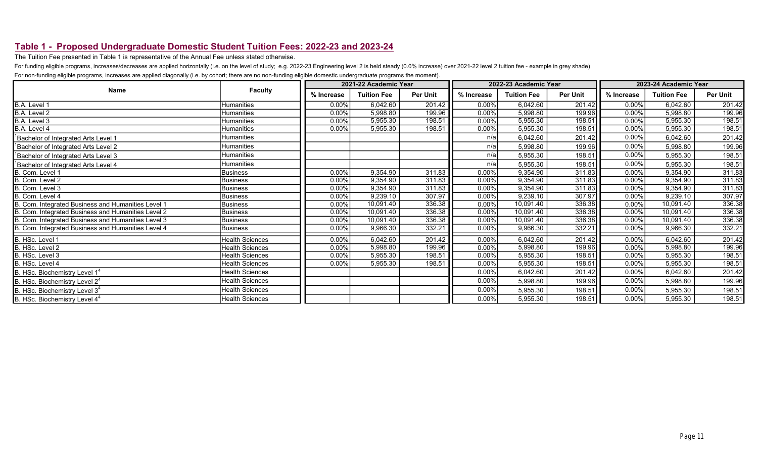# Table 1 - Proposed Undergraduate Domestic Student Tuition Fees: 2022-23 and 2023-24

The Tuition Fee presented in Table 1 is representative of the Annual Fee unless stated otherwise.

For funding eligible programs, increases/decreases are applied horizontally (i.e. on the level of study; e.g. 2022-23 Engineering level 2 is held steady (0.0% increase) over 2021-22 level 2 tuition fee - example in grey sh

For non-funding eligible programs, increases are applied diagonally (i.e. by cohort; there are no non-funding eligible domestic undergraduate programs the moment).

|                                                    |                        |            | 2021-22 Academic Year |                 |            | 2022-23 Academic Year |                 | 2023-24 Academic Year |                    |                 |  |
|----------------------------------------------------|------------------------|------------|-----------------------|-----------------|------------|-----------------------|-----------------|-----------------------|--------------------|-----------------|--|
| Name                                               | <b>Faculty</b>         | % Increase | <b>Tuition Fee</b>    | <b>Per Unit</b> | % Increase | <b>Tuition Fee</b>    | <b>Per Unit</b> | % Increase            | <b>Tuition Fee</b> | <b>Per Unit</b> |  |
| B.A. Level 1                                       | Humanities             | 0.00%      | 6,042.60              | 201.42          | 0.00%      | 6,042.60              | 201.42          | 0.00%                 | 6,042.60           | 201.42          |  |
| B.A. Level 2                                       | <b>Humanities</b>      | 0.00%      | 5,998.80              | 199.96          | 0.00%      | 5,998.80              | 199.96          | 0.00%                 | 5,998.80           | 199.96          |  |
| B.A. Level 3                                       | <b>Humanities</b>      | 0.00%      | 5,955.30              | 198.51          | 0.00%      | 5,955.30              | 198.51          | 0.00%                 | 5,955.30           | 198.51          |  |
| B.A. Level 4                                       | <b>Humanities</b>      | 0.00%      | 5,955.30              | 198.51          | 0.00%      | 5,955.30              | 198.51          | 0.00%                 | 5,955.30           | 198.51          |  |
| Bachelor of Integrated Arts Level 1                | Humanities             |            |                       |                 | n/a        | 6,042.60              | 201.42          | 0.00%                 | 6,042.60           | 201.42          |  |
| Bachelor of Integrated Arts Level 2                | <b>Humanities</b>      |            |                       |                 | n/a        | 5,998.80              | 199.96          | 0.00%                 | 5,998.80           | 199.96          |  |
| 'Bachelor of Integrated Arts Level 3               | Humanities             |            |                       |                 | n/a        | 5,955.30              | 198.51          | 0.00%                 | 5,955.30           | 198.51          |  |
| Bachelor of Integrated Arts Level 4                | Humanities             |            |                       |                 | n/a        | 5,955.30              | 198.51          | 0.00%                 | 5,955.30           | 198.51          |  |
| B. Com. Level 1                                    | <b>Business</b>        | 0.00%      | 9,354.90              | 311.83          | 0.00%      | 9,354.90              | 311.83          | 0.00%                 | 9,354.90           | 311.83          |  |
| B. Com. Level 2                                    | <b>Business</b>        | 0.00%      | 9,354.90              | 311.83          | 0.00%      | 9,354.90              | 311.83          | 0.00%                 | 9,354.90           | 311.83          |  |
| B. Com. Level 3                                    | Business               | 0.00%      | 9,354.90              | 311.83          | 0.00%      | 9,354.90              | 311.83          | 0.00%                 | 9,354.90           | 311.83          |  |
| B. Com. Level 4                                    | <b>Business</b>        | 0.00%      | 9,239.10              | 307.97          | 0.00%      | 9,239.10              | 307.97          | 0.00%                 | 9,239.10           | 307.97          |  |
| B. Com. Integrated Business and Humanities Level 1 | <b>Business</b>        | 0.00%      | 10,091.40             | 336.38          | 0.00%      | 10,091.40             | 336.38          | 0.00%                 | 10,091.40          | 336.38          |  |
| B. Com. Integrated Business and Humanities Level 2 | Business               | 0.00%      | 10,091.40             | 336.38          | 0.00%      | 10,091.40             | 336.38          | 0.00%                 | 10,091.40          | 336.38          |  |
| B. Com. Integrated Business and Humanities Level 3 | <b>Business</b>        | $0.00\%$   | 10,091.40             | 336.38          | 0.00%      | 10,091.40             | 336.38          | 0.00%                 | 10,091.40          | 336.38          |  |
| B. Com. Integrated Business and Humanities Level 4 | <b>Business</b>        | 0.00%      | 9,966.30              | 332.21          | 0.00%      | 9,966.30              | 332.21          | 0.00%                 | 9,966.30           | 332.21          |  |
| B. HSc. Level 1                                    | Health Sciences        | 0.00%      | 6,042.60              | 201.42          | 0.00%      | 6,042.60              | 201.42          | 0.00%                 | 6,042.60           | 201.42          |  |
| B. HSc. Level 2                                    | <b>Health Sciences</b> | 0.00%      | 5,998.80              | 199.96          | 0.00%      | 5,998.80              | 199.96          | 0.00%                 | 5,998.80           | 199.96          |  |
| B. HSc. Level 3                                    | <b>Health Sciences</b> | 0.00%      | 5,955.30              | 198.51          | 0.00%      | 5,955.30              | 198.51          | 0.00%                 | 5,955.30           | 198.51          |  |
| B. HSc. Level 4                                    | Health Sciences        | 0.00%      | 5,955.30              | 198.51          | 0.00%      | 5,955.30              | 198.51          | 0.00%                 | 5,955.30           | 198.51          |  |
| B. HSc. Biochemistry Level 1 <sup>4</sup>          | Health Sciences        |            |                       |                 | 0.00%      | 6,042.60              | 201.42          | 0.00%                 | 6,042.60           | 201.42          |  |
| B. HSc. Biochemistry Level 2 <sup>4</sup>          | <b>Health Sciences</b> |            |                       |                 | 0.00%      | 5,998.80              | 199.96          | 0.00%                 | 5,998.80           | 199.96          |  |
| B. HSc. Biochemistry Level 3 <sup>4</sup>          | <b>Health Sciences</b> |            |                       |                 | 0.00%      | 5,955.30              | 198.51          | 0.00%                 | 5,955.30           | 198.51          |  |
| B. HSc. Biochemistry Level 44                      | <b>Health Sciences</b> |            |                       |                 | 0.00%      | 5,955.30              | 198.51          | 0.00%                 | 5,955.30           | 198.51          |  |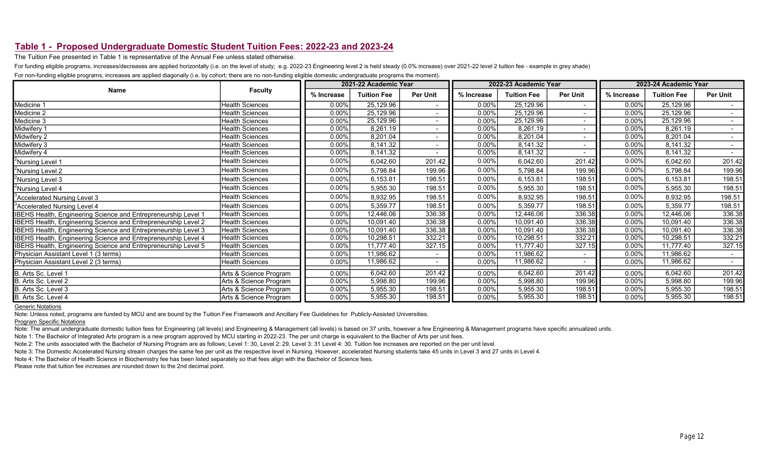### Table 1 - Proposed Undergraduate Domestic Student Tuition Fees: 2022-23 and 2023-24

The Tuition Fee presented in Table 1 is representative of the Annual Fee unless stated otherwise.

For funding eligible programs, increases/decreases are applied horizontally (i.e. on the level of study; e.g. 2022-23 Engineering level 2 is held steady (0.0% increase) over 2021-22 level 2 tuition fee - example in grey sh

For non-funding eligible programs, increases are applied diagonally (i.e. by cohort; there are no non-funding eligible domestic undergraduate programs the moment).

|                                                                |                        |            | 2021-22 Academic Year |                 |            | 2022-23 Academic Year |                          | 2023-24 Academic Year |                    |                 |  |
|----------------------------------------------------------------|------------------------|------------|-----------------------|-----------------|------------|-----------------------|--------------------------|-----------------------|--------------------|-----------------|--|
| Name                                                           | <b>Faculty</b>         | % Increase | <b>Tuition Fee</b>    | <b>Per Unit</b> | % Increase | <b>Tuition Fee</b>    | <b>Per Unit</b>          | % Increase            | <b>Tuition Fee</b> | <b>Per Unit</b> |  |
| Medicine 1                                                     | <b>Health Sciences</b> | 0.00%      | 25,129.96             |                 | 0.00%      | 25,129.96             | $\overline{\phantom{0}}$ | $0.00\%$              | 25,129.96          | $\sim$          |  |
| Medicine 2                                                     | <b>Health Sciences</b> | 0.00%      | 25,129.96             |                 | 0.00%      | 25,129.96             |                          | 0.00%                 | 25,129.96          |                 |  |
| Medicine 3                                                     | <b>Health Sciences</b> | 0.00%      | 25,129.96             |                 | 0.00%      | 25,129.96             |                          | 0.00%                 | 25,129.96          | $\sim$          |  |
| Midwifery 1                                                    | <b>Health Sciences</b> | 0.00%      | 8,261.19              |                 | 0.00%      | 8,261.19              |                          | 0.00%                 | 8,261.19           | $\sim$          |  |
| Midwifery 2                                                    | <b>Health Sciences</b> | 0.00%      | 8,201.04              |                 | 0.00%      | 8,201.04              |                          | $0.00\%$              | 8,201.04           |                 |  |
| Midwifery 3                                                    | <b>Health Sciences</b> | 0.00%      | 8,141.32              |                 | 0.00%      | 8,141.32              |                          | 0.00%                 | 8,141.32           | $\sim$          |  |
| Midwifery 4                                                    | <b>Health Sciences</b> | 0.00%      | 8,141.32              |                 | 0.00%      | 8,141.32              |                          | 0.00%                 | 8,141.32           | $\sim$          |  |
| <sup>2</sup> Nursing Level 1                                   | <b>Health Sciences</b> | 0.00%      | 6,042.60              | 201.42          | 0.00%      | 6,042.60              | 201.42                   | $0.00\%$              | 6,042.60           | 201.42          |  |
| Nursing Level 2                                                | <b>Health Sciences</b> | 0.00%      | 5,798.84              | 199.96          | 0.00%      | 5,798.84              | 199.96                   | $0.00\%$              | 5,798.84           | 199.96          |  |
| Nursing Level 3                                                | <b>Health Sciences</b> | 0.00%      | 6,153.81              | 198.51          | 0.00%      | 6,153.81              | 198.51                   | $0.00\%$              | 6,153.81           | 198.51          |  |
| <sup>2</sup> Nursing Level 4                                   | <b>Health Sciences</b> | 0.00%      | 5,955.30              | 198.51          | 0.00%      | 5,955.30              | 198.51                   | $0.00\%$              | 5,955.30           | 198.51          |  |
| <sup>3</sup> Accelerated Nursing Level 3                       | <b>Health Sciences</b> | 0.00%      | 8,932.95              | 198.51          | 0.00%      | 8,932.95              | 198.51                   | 0.00%                 | 8,932.95           | 198.51          |  |
| <sup>3</sup> Accelerated Nursing Level 4                       | <b>Health Sciences</b> | 0.00%      | 5,359.77              | 198.51          | 0.00%      | 5,359.77              | 198.51                   | $0.00\%$              | 5,359.77           | 198.51          |  |
| IBEHS Health, Engineering Science and Entrepreneurship Level 1 | Health Sciences        | 0.00%      | 12,446.06             | 336.38          | 0.00%      | 12,446.06             | 336.38                   | $0.00\%$              | 12,446.06          | 336.38          |  |
| IBEHS Health, Engineering Science and Entrepreneurship Level 2 | Health Sciences        | 0.00%      | 10,091.40             | 336.38          | 0.00%      | 10,091.40             | 336.38                   | 0.00%                 | 10,091.40          | 336.38          |  |
| IBEHS Health, Engineering Science and Entrepreneurship Level 3 | Health Sciences        | 0.00%      | 10,091.40             | 336.38          | 0.00%      | 10,091.40             | 336.38                   | 0.00%                 | 10,091.40          | 336.38          |  |
| IBEHS Health, Engineering Science and Entrepreneurship Level 4 | Health Sciences        | 0.00%      | 10,298.51             | 332.21          | 0.00%      | 10,298.51             | 332.21                   | $0.00\%$              | 10,298.51          | 332.21          |  |
| IBEHS Health, Engineering Science and Entrepreneurship Level 5 | Health Sciences        | 0.00%      | 11,777.40             | 327.15          | 0.00%      | 11,777.40             | 327.15                   | 0.00%                 | 11,777.40          | 327.15          |  |
| Physician Assistant Level 1 (3 terms)                          | <b>Health Sciences</b> | 0.00%      | 11,986.62             |                 | 0.00%      | 11,986.62             |                          | 0.00%                 | 11,986.62          | $\sim$          |  |
| Physician Assistant Level 2 (3 terms)                          | <b>Health Sciences</b> | 0.00%      | 11,986.62             |                 | 0.00%      | 11,986.62             |                          | 0.00%                 | 11,986.62          |                 |  |
| B. Arts Sc. Level 1                                            | Arts & Science Program | 0.00%      | 6,042.60              | 201.42          | 0.00%      | 6,042.60              | 201.42                   | 0.00%                 | 6,042.60           | 201.42          |  |
| B. Arts Sc. Level 2                                            | Arts & Science Program | 0.00%      | 5,998.80              | 199.96          | 0.00%      | 5,998.80              | 199.96                   | 0.00%                 | 5,998.80           | 199.96          |  |
| B. Arts Sc. Level 3                                            | Arts & Science Program | 0.00%      | 5,955.30              | 198.51          | 0.00%      | 5,955.30              | 198.51                   | 0.00%                 | 5,955.30           | 198.51          |  |
| B. Arts Sc. Level 4                                            | Arts & Science Program | 0.00%      | 5,955.30              | 198.51          | 0.00%      | 5,955.30              | 198.51                   | $0.00\%$              | 5,955.30           | 198.51          |  |

Generic Notations

Note: Unless noted, programs are funded by MCU and are bound by the Tuition Fee Framework and Ancillary Fee Guidelines for Publicly-Assisted Universities.

Program Specific Notations

Note: The annual undergraduate domestic tuition fees for Engineering (all levels) and Engineering & Management (all levels) is based on 37 units, however a few Engineering & Management programs have specific annualized uni

Note 1: The Bachelor of Integrated Arts program is a new program approved by MCU starting in 2022-23. The per unit charge is equivalent to the Bacher of Arts per unit fees.

Note 2: The units associated with the Bachelor of Nursing Program are as follows; Level 1: 30, Level 2: 29, Level 3: 31 Level 4: 30. Tuition fee increases are reported on the per unit level.

Note 3: The Domestic Accelerated Nursing stream charges the same fee per unit as the respective level in Nursing. However, accelerated Nursing students take 45 units in Level 3 and 27 units in Level 4.

Note 4: The Bachelor of Health Science in Biochemistry fee has been listed separately so that fees align with the Bachelor of Science fees.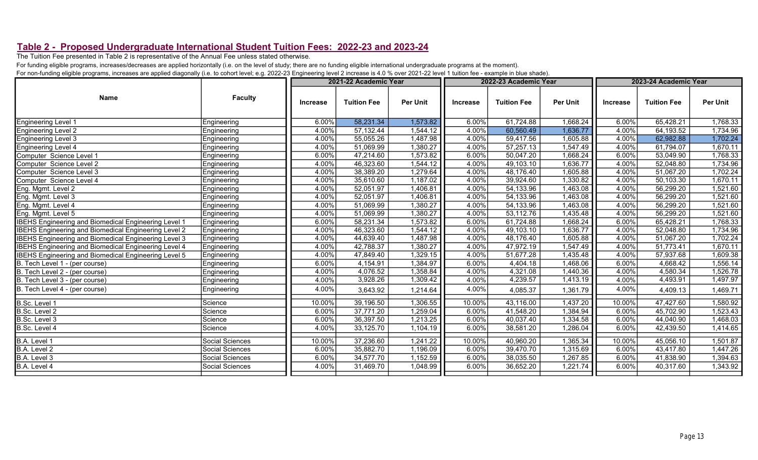The Tuition Fee presented in Table 2 is representative of the Annual Fee unless stated otherwise.

For funding eligible programs, increases/decreases are applied horizontally (i.e. on the level of study; there are no funding eligible international undergraduate programs at the moment).

For non-funding eligible programs, increases are applied diagonally (i.e. to cohort level; e.g. 2022-23 Engineering level 2 increase is 4.0 % over 2021-22 level 1 tuition fee - example in blue shade).

|                                                             |                 |                 | 2021-22 Academic Year |                 |                 | 2022-23 Academic Year |                 |                 | 2023-24 Academic Year |                 |
|-------------------------------------------------------------|-----------------|-----------------|-----------------------|-----------------|-----------------|-----------------------|-----------------|-----------------|-----------------------|-----------------|
| <b>Name</b>                                                 | <b>Faculty</b>  | <b>Increase</b> | <b>Tuition Fee</b>    | <b>Per Unit</b> | <b>Increase</b> | <b>Tuition Fee</b>    | <b>Per Unit</b> | <b>Increase</b> | <b>Tuition Fee</b>    | <b>Per Unit</b> |
| <b>Engineering Level 1</b>                                  | Engineering     | 6.00%           | 58,231.34             | 1,573.82        | 6.00%           | 61,724.88             | 1,668.24        | 6.00%           | 65,428.21             | 1,768.33        |
| Engineering Level 2                                         | Engineering     | 4.00%           | 57,132.44             | 1,544.12        | 4.00%           | 60,560.49             | 1,636.77        | 4.00%           | 64,193.52             | 1,734.96        |
| Engineering Level 3                                         | Engineering     | 4.00%           | 55,055.26             | 1,487.98        | 4.00%           | 59,417.56             | 1,605.88        | 4.00%           | 62,982.88             | 1,702.24        |
| Engineering Level 4                                         | Engineering     | 4.00%           | 51,069.99             | 1,380.27        | 4.00%           | 57,257.13             | 1,547.49        | 4.00%           | 61,794.07             | 1,670.11        |
| Computer Science Level 1                                    | Engineering     | 6.00%           | 47,214.60             | 1,573.82        | 6.00%           | 50,047.20             | 1,668.24        | 6.00%           | 53,049.90             | 1,768.33        |
| Computer Science Level 2                                    | Engineering     | 4.00%           | 46,323.60             | 1,544.12        | 4.00%           | 49,103.10             | 1,636.77        | 4.00%           | 52,048.80             | 1,734.96        |
| Computer Science Level 3                                    | Engineering     | 4.00%           | 38,389.20             | 1,279.64        | 4.00%           | 48,176.40             | 1,605.88        | 4.00%           | 51,067.20             | 1,702.24        |
| Computer Science Level 4                                    | Engineering     | 4.00%           | 35,610.60             | 1,187.02        | 4.00%           | 39,924.60             | 1,330.82        | 4.00%           | 50,103.30             | 1,670.11        |
| Eng. Mgmt. Level 2                                          | Engineering     | 4.00%           | 52,051.97             | 1,406.81        | 4.00%           | 54, 133.96            | 1,463.08        | 4.00%           | 56,299.20             | 1,521.60        |
| Eng. Mgmt. Level 3                                          | Engineering     | 4.00%           | 52,051.97             | 1,406.81        | 4.00%           | 54,133.96             | 1,463.08        | 4.00%           | 56,299.20             | 1,521.60        |
| Eng. Mgmt. Level 4                                          | Engineering     | 4.00%           | 51,069.99             | 1,380.27        | 4.00%           | 54, 133.96            | 1,463.08        | 4.00%           | 56,299.20             | 1,521.60        |
| Eng. Mgmt. Level 5                                          | Engineering     | 4.00%           | 51,069.99             | 1,380.27        | 4.00%           | 53,112.76             | 1,435.48        | 4.00%           | 56,299.20             | 1,521.60        |
| IBEHS Engineering and Biomedical Engineering Level 1        | Engineering     | 6.00%           | 58,231.34             | 1,573.82        | 6.00%           | 61,724.88             | 1,668.24        | 6.00%           | 65,428.21             | 1,768.33        |
| IBEHS Engineering and Biomedical Engineering Level 2        | Engineering     | 4.00%           | 46,323.60             | 1,544.12        | 4.00%           | 49,103.10             | 1,636.77        | 4.00%           | 52,048.80             | 1,734.96        |
| IBEHS Engineering and Biomedical Engineering Level 3        | Engineering     | 4.00%           | 44,639.40             | 1,487.98        | 4.00%           | 48,176.40             | 1,605.88        | 4.00%           | 51,067.20             | 1,702.24        |
| <b>IBEHS Engineering and Biomedical Engineering Level 4</b> | Engineering     | 4.00%           | 42,788.37             | 1,380.27        | 4.00%           | 47,972.19             | 1,547.49        | 4.00%           | 51,773.41             | 1,670.11        |
| <b>IBEHS Engineering and Biomedical Engineering Level 5</b> | Engineering     | 4.00%           | 47,849.40             | 1,329.15        | 4.00%           | 51,677.28             | 1,435.48        | 4.00%           | 57,937.68             | 1,609.38        |
| B. Tech Level 1 - (per course)                              | Engineering     | 6.00%           | 4,154.91              | 1,384.97        | 6.00%           | 4,404.18              | 1,468.06        | 6.00%           | 4,668.42              | 1,556.14        |
| B. Tech Level 2 - (per course)                              | Engineering     | 4.00%           | 4,076.52              | 1,358.84        | 4.00%           | 4,321.08              | 1,440.36        | 4.00%           | 4,580.34              | 1,526.78        |
| B. Tech Level 3 - (per course)                              | Engineering     | 4.00%           | 3,928.26              | 1,309.42        | 4.00%           | 4,239.57              | 1,413.19        | 4.00%           | 4,493.91              | 1,497.97        |
| B. Tech Level 4 - (per course)                              | Engineering     | 4.00%           | 3,643.92              | 1,214.64        | 4.00%           | 4,085.37              | 1,361.79        | 4.00%           | 4,409.13              | 1,469.71        |
| B.Sc. Level 1                                               | Science         | 10.00%          | 39,196.50             | 1,306.55        | 10.00%          | 43,116.00             | 1,437.20        | 10.00%          | 47,427.60             | 1,580.92        |
| B.Sc. Level 2                                               | Science         | 6.00%           | 37,771.20             | 1,259.04        | 6.00%           | 41,548.20             | 1,384.94        | 6.00%           | 45,702.90             | 1,523.43        |
| B.Sc. Level 3                                               | Science         | 6.00%           | 36,397.50             | 1,213.25        | 6.00%           | 40,037.40             | 1,334.58        | 6.00%           | 44,040.90             | 1,468.03        |
| B.Sc. Level 4                                               | Science         | 4.00%           | 33,125.70             | 1,104.19        | 6.00%           | 38,581.20             | 1,286.04        | 6.00%           | 42,439.50             | 1,414.65        |
| B.A. Level 1                                                | Social Sciences | 10.00%          | 37,236.60             | 1,241.22        | 10.00%          | 40,960.20             | 1,365.34        | 10.00%          | 45,056.10             | 1,501.87        |
| B.A. Level 2                                                | Social Sciences | 6.00%           | 35,882.70             | 1,196.09        | 6.00%           | 39,470.70             | 1,315.69        | 6.00%           | 43,417.80             | 1,447.26        |
| B.A. Level 3                                                | Social Sciences | 6.00%           | 34,577.70             | 1,152.59        | 6.00%           | 38,035.50             | 1,267.85        | 6.00%           | 41,838.90             | 1,394.63        |
| B.A. Level 4                                                | Social Sciences | 4.00%           | 31,469.70             | 1,048.99        | 6.00%           | 36,652.20             | 1,221.74        | 6.00%           | 40,317.60             | 1,343.92        |
|                                                             |                 |                 |                       |                 |                 |                       |                 |                 |                       |                 |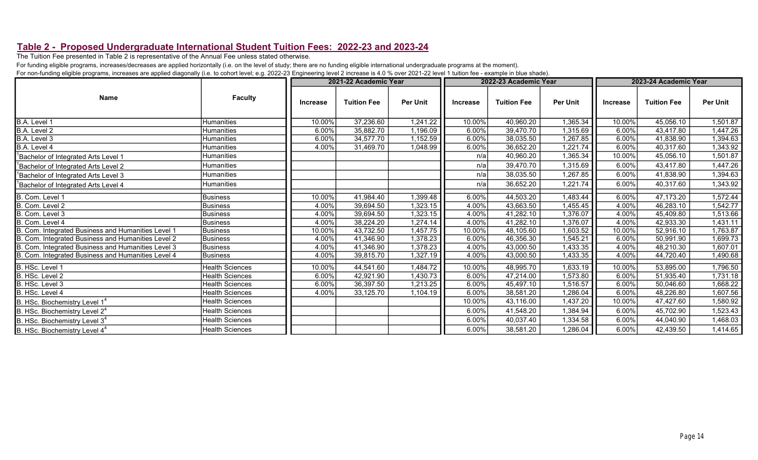The Tuition Fee presented in Table 2 is representative of the Annual Fee unless stated otherwise.

For funding eligible programs, increases/decreases are applied horizontally (i.e. on the level of study; there are no funding eligible international undergraduate programs at the moment).

For non-funding eligible programs, increases are applied diagonally (i.e. to cohort level; e.g. 2022-23 Engineering level 2 increase is 4.0 % over 2021-22 level 1 tuition fee - example in blue shade).

|                                                    |                        | 2021-22 Academic Year |                    |                 |                 | 2022-23 Academic Year |                 | 2023-24 Academic Year |                    |                 |  |
|----------------------------------------------------|------------------------|-----------------------|--------------------|-----------------|-----------------|-----------------------|-----------------|-----------------------|--------------------|-----------------|--|
| <b>Name</b>                                        | <b>Faculty</b>         | <b>Increase</b>       | <b>Tuition Fee</b> | <b>Per Unit</b> | <b>Increase</b> | <b>Tuition Fee</b>    | <b>Per Unit</b> | <b>Increase</b>       | <b>Tuition Fee</b> | <b>Per Unit</b> |  |
| B.A. Level 1                                       | Humanities             | 10.00%                | 37,236.60          | 1,241.22        | 10.00%          | 40,960.20             | 1,365.34        | 10.00%                | 45,056.10          | 1,501.87        |  |
| B.A. Level 2                                       | Humanities             | 6.00%                 | 35,882.70          | 1,196.09        | 6.00%           | 39,470.70             | 1,315.69        | 6.00%                 | 43,417.80          | 1,447.26        |  |
| B.A. Level 3                                       | Humanities             | 6.00%                 | 34,577.70          | 1,152.59        | 6.00%           | 38,035.50             | 1,267.85        | 6.00%                 | 41,838.90          | 1,394.63        |  |
| B.A. Level 4                                       | Humanities             | 4.00%                 | 31,469.70          | 1,048.99        | 6.00%           | 36,652.20             | 1,221.74        | 6.00%                 | 40,317.60          | 1,343.92        |  |
| <sup>1</sup> Bachelor of Integrated Arts Level 1   | Humanities             |                       |                    |                 | n/a             | 40,960.20             | 1,365.34        | 10.00%                | 45,056.10          | 1,501.87        |  |
| <sup>1</sup> Bachelor of Integrated Arts Level 2   | <b>Humanities</b>      |                       |                    |                 | n/a             | 39,470.70             | 1,315.69        | 6.00%                 | 43,417.80          | 1,447.26        |  |
| <sup>1</sup> Bachelor of Integrated Arts Level 3   | <b>Humanities</b>      |                       |                    |                 | n/a             | 38,035.50             | 1,267.85        | 6.00%                 | 41,838.90          | 1,394.63        |  |
| <sup>1</sup> Bachelor of Integrated Arts Level 4   | Humanities             |                       |                    |                 | n/al            | 36,652.20             | 1,221.74        | 6.00%                 | 40,317.60          | 1,343.92        |  |
| B. Com. Level 1                                    | Business               | 10.00%                | 41,984.40          | 1,399.48        | 6.00%           | 44,503.20             | 1,483.44        | 6.00%                 | 47,173.20          | 1,572.44        |  |
| B. Com. Level 2                                    | Business               | 4.00%                 | 39,694.50          | 1,323.15        | 4.00%           | 43,663.50             | 1,455.45        | 4.00%                 | 46,283.10          | 1,542.77        |  |
| B. Com. Level 3                                    | <b>Business</b>        | 4.00%                 | 39,694.50          | 1,323.15        | 4.00%           | 41,282.10             | 1,376.07        | 4.00%                 | 45,409.80          | 1,513.66        |  |
| B. Com. Level 4                                    | Business               | 4.00%                 | 38,224.20          | 1,274.14        | 4.00%           | 41,282.10             | 1,376.07        | 4.00%                 | 42,933.30          | 1,431.11        |  |
| B. Com. Integrated Business and Humanities Level 1 | <b>Business</b>        | 10.00%                | 43,732.50          | 1,457.75        | 10.00%          | 48,105.60             | 1,603.52        | 10.00%                | 52,916.10          | 1,763.87        |  |
| B. Com. Integrated Business and Humanities Level 2 | Business               | 4.00%                 | 41,346.90          | 1,378.23        | 6.00%           | 46,356.30             | 1,545.21        | 6.00%                 | 50,991.90          | 1,699.73        |  |
| B. Com. Integrated Business and Humanities Level 3 | Business               | 4.00%                 | 41,346.90          | 1,378.23        | 4.00%           | 43,000.50             | 1,433.35        | 4.00%                 | 48.210.30          | 1,607.01        |  |
| B. Com. Integrated Business and Humanities Level 4 | <b>Business</b>        | 4.00%                 | 39,815.70          | 1,327.19        | 4.00%           | 43,000.50             | 1,433.35        | 4.00%                 | 44,720.40          | 1,490.68        |  |
| B. HSc. Level 1                                    | <b>Health Sciences</b> | 10.00%                | 44,541.60          | 1,484.72        | 10.00%          | 48,995.70             | 1,633.19        | 10.00%                | 53,895.00          | 1,796.50        |  |
| B. HSc. Level 2                                    | Health Sciences        | 6.00%                 | 42,921.90          | 1,430.73        | 6.00%           | 47,214.00             | 1,573.80        | $6.00\%$              | 51,935.40          | 1,731.18        |  |
| B. HSc. Level 3                                    | Health Sciences        | 6.00%                 | 36,397.50          | 1,213.25        | 6.00%           | 45,497.10             | 1,516.57        | 6.00%                 | 50,046.60          | 1,668.22        |  |
| B. HSc. Level 4                                    | Health Sciences        | 4.00%                 | 33,125.70          | 1,104.19        | 6.00%           | 38,581.20             | 1,286.04        | 6.00%                 | 48,226.80          | 1,607.56        |  |
| B. HSc. Biochemistry Level 1 <sup>4</sup>          | <b>Health Sciences</b> |                       |                    |                 | 10.00%          | 43,116.00             | 1,437.20        | 10.00%                | 47,427.60          | 1,580.92        |  |
| B. HSc. Biochemistry Level $2^4$                   | <b>Health Sciences</b> |                       |                    |                 | 6.00%           | 41,548.20             | 1,384.94        | 6.00%                 | 45,702.90          | 1,523.43        |  |
| B. HSc. Biochemistry Level $34$                    | Health Sciences        |                       |                    |                 | 6.00%           | 40,037.40             | 1,334.58        | 6.00%                 | 44,040.90          | 1,468.03        |  |
| B. HSc. Biochemistry Level 4 <sup>4</sup>          | Health Sciences        |                       |                    |                 | 6.00%           | 38,581.20             | 1,286.04        | 6.00%                 | 42,439.50          | 1,414.65        |  |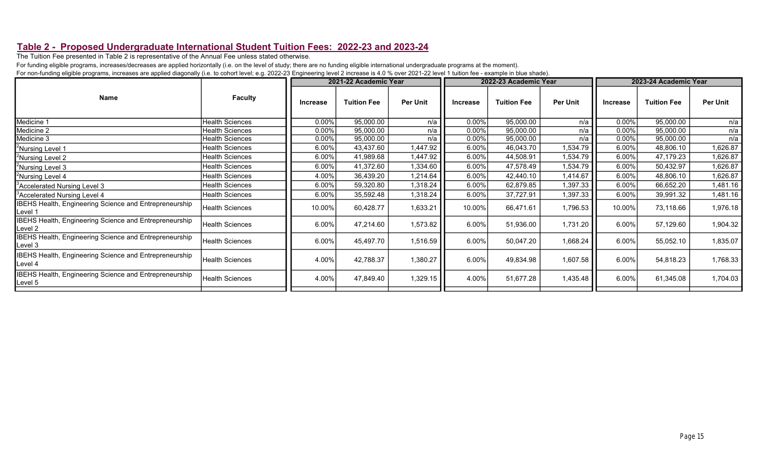The Tuition Fee presented in Table 2 is representative of the Annual Fee unless stated otherwise.

For funding eligible programs, increases/decreases are applied horizontally (i.e. on the level of study; there are no funding eligible international undergraduate programs at the moment).

For non-funding eligible programs, increases are applied diagonally (i.e. to cohort level; e.g. 2022-23 Engineering level 2 increase is 4.0 % over 2021-22 level 1 tuition fee - example in blue shade).

|                                                                          |                        | 2021-22 Academic Year |                    |          |                 | 2022-23 Academic Year |                 | 2023-24 Academic Year |                    |                 |  |
|--------------------------------------------------------------------------|------------------------|-----------------------|--------------------|----------|-----------------|-----------------------|-----------------|-----------------------|--------------------|-----------------|--|
| Name                                                                     | <b>Faculty</b>         | <b>Increase</b>       | <b>Tuition Fee</b> | Per Unit | <b>Increase</b> | <b>Tuition Fee</b>    | <b>Per Unit</b> | <b>Increase</b>       | <b>Tuition Fee</b> | <b>Per Unit</b> |  |
| Medicine 1                                                               | <b>Health Sciences</b> | 0.00%                 | 95,000.00          | n/a      | $0.00\%$        | 95,000.00             | n/a             | $0.00\%$              | 95,000.00          | n/a             |  |
| Medicine 2                                                               | Health Sciences        | 0.00%                 | 95,000.00          | n/a      | $0.00\%$        | 95,000.00             | n/a             | 0.00%                 | 95,000.00          | n/a             |  |
| Medicine 3                                                               | Health Sciences        | 0.00%                 | 95,000.00          | n/a      | $0.00\%$        | 95,000.00             | n/a             | $0.00\%$              | 95,000.00          | n/a             |  |
| <sup>2</sup> Nursing Level 1                                             | Health Sciences        | 6.00%                 | 43,437.60          | 1,447.92 | 6.00%           | 46,043.70             | 1,534.79        | 6.00%                 | 48,806.10          | 1,626.87        |  |
| <sup>2</sup> Nursing Level 2                                             | Health Sciences        | 6.00%                 | 41,989.68          | 1,447.92 | 6.00%           | 44,508.91             | 1,534.79        | 6.00%                 | 47,179.23          | 1,626.87        |  |
| <sup>2</sup> Nursing Level 3                                             | <b>Health Sciences</b> | 6.00%                 | 41,372.60          | 1,334.60 | 6.00%           | 47,578.49             | 1,534.79        | 6.00%                 | 50,432.97          | 1,626.87        |  |
| <sup>2</sup> Nursing Level 4                                             | <b>Health Sciences</b> | 4.00%                 | 36,439.20          | 1,214.64 | 6.00%           | 42,440.10             | 1,414.67        | 6.00%                 | 48,806.10          | 1,626.87        |  |
| <sup>3</sup> Accelerated Nursing Level 3                                 | Health Sciences        | 6.00%                 | 59,320.80          | 1,318.24 | 6.00%           | 62,879.85             | 1,397.33        | 6.00%                 | 66,652.20          | 1,481.16        |  |
| <sup>3</sup> Accelerated Nursing Level 4                                 | Health Sciences        | 6.00%                 | 35,592.48          | 1,318.24 | 6.00%           | 37,727.91             | 1,397.33        | 6.00%                 | 39,991.32          | 1,481.16        |  |
| <b>IBEHS Health, Engineering Science and Entrepreneurship</b><br>Level 1 | Health Sciences        | 10.00%                | 60,428.77          | 1,633.21 | 10.00%          | 66,471.61             | 1,796.53        | 10.00%                | 73,118.66          | 1,976.18        |  |
| IBEHS Health, Engineering Science and Entrepreneurship<br>Level 2        | Health Sciences        | 6.00%                 | 47,214.60          | 1,573.82 | 6.00%           | 51,936.00             | 1,731.20        | 6.00%                 | 57,129.60          | 1,904.32        |  |
| IBEHS Health, Engineering Science and Entrepreneurship<br>Level 3        | Health Sciences        | 6.00%                 | 45,497.70          | 1,516.59 | 6.00%           | 50,047.20             | 1,668.24        | 6.00%                 | 55,052.10          | 1,835.07        |  |
| IBEHS Health, Engineering Science and Entrepreneurship<br>Level 4        | Health Sciences        | 4.00%                 | 42,788.37          | 1,380.27 | 6.00%           | 49,834.98             | 1,607.58        | 6.00%                 | 54,818.23          | 1,768.33        |  |
| IBEHS Health, Engineering Science and Entrepreneurship<br>Level 5        | Health Sciences        | 4.00%                 | 47,849.40          | 1,329.15 | 4.00%           | 51,677.28             | 1,435.48        | 6.00%                 | 61,345.08          | 1,704.03        |  |
|                                                                          |                        |                       |                    |          |                 |                       |                 |                       |                    |                 |  |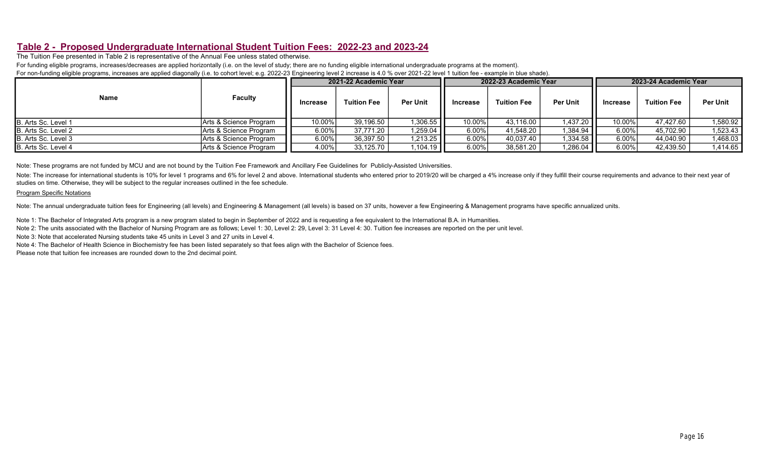The Tuition Fee presented in Table 2 is representative of the Annual Fee unless stated otherwise.

For funding eligible programs, increases/decreases are applied horizontally (i.e. on the level of study; there are no funding eligible international undergraduate programs at the moment).

For non-funding eligible programs, increases are applied diagonally (i.e. to cohort level; e.g. 2022-23 Engineering level 2 increase is 4.0 % over 2021-22 level 1 tuition fee - example in blue shade).

|                     |                         |                 | 2021-22 Academic Year |                 |                 | 2022-23 Academic Year |                 | 2023-24 Academic Year |                    |                 |  |
|---------------------|-------------------------|-----------------|-----------------------|-----------------|-----------------|-----------------------|-----------------|-----------------------|--------------------|-----------------|--|
| Name                | <b>Faculty</b>          | <b>Increase</b> | <b>Tuition Fee</b>    | <b>Per Unit</b> | <b>Increase</b> | <b>Tuition Fee</b>    | <b>Per Unit</b> | <b>Increase</b>       | <b>Tuition Fee</b> | <b>Per Unit</b> |  |
| B. Arts Sc. Level 1 | Arts & Science Program  | 10.00%          | 39.196.50             | 1,306.55        | $10.00\%$       | 43.116.00             | ∣ 437.20,       | 10.00%                | 47.427.60          | 1,580.92        |  |
| B. Arts Sc. Level 2 | Arts & Science Program  | $6.00\%$        | 37,771.20             | 1,259.04        | 6.00%           | 41,548.20             | 1,384.94        | 6.00%                 | 45,702.90          | 1,523.43        |  |
| B. Arts Sc. Level 3 | IArts & Science Program | 6.00%           | 36,397.50             | 1,213.25        | $6.00\%$        | 40.037.40             | 1,334.58        | 6.00%                 | 44,040.90          | 1,468.03        |  |
| B. Arts Sc. Level 4 | Arts & Science Program  | 4.00%           | 33,125.70             | 1,104.19        | 6.00%           | 38,581.20             | 1,286.04        | $6.00\%$              | 42,439.50          | 1,414.65        |  |

Note: These programs are not funded by MCU and are not bound by the Tuition Fee Framework and Ancillary Fee Guidelines for Publicly-Assisted Universities.

Note: The increase for international students is 10% for level 1 programs and 6% for level 2 and above. International students who entered prior to 2019/20 will be charged a 4% increase only if they fulfill their course re studies on time. Otherwise, they will be subject to the regular increases outlined in the fee schedule.

### **Program Specific Notations**

Note: The annual undergraduate tuition fees for Engineering (all levels) and Engineering & Management (all levels) is based on 37 units, however a few Engineering & Management programs have specific annualized units.

Note 1: The Bachelor of Integrated Arts program is a new program slated to begin in September of 2022 and is requesting a fee equivalent to the International B.A. in Humanities.

Note 2: The units associated with the Bachelor of Nursing Program are as follows; Level 1: 30, Level 2: 29, Level 3: 31 Level 4: 30. Tuition fee increases are reported on the per unit level.

Note 3: Note that accelerated Nursing students take 45 units in Level 3 and 27 units in Level 4.

Note 4: The Bachelor of Health Science in Biochemistry fee has been listed separately so that fees align with the Bachelor of Science fees.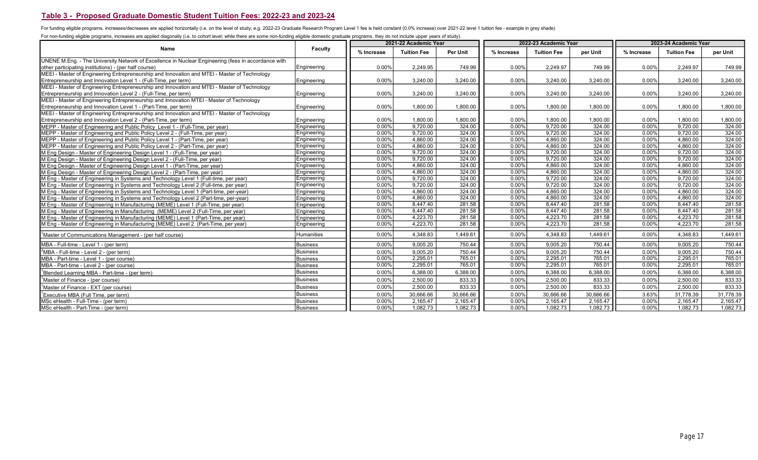### Table 3 - Proposed Graduate Domestic Student Tuition Fees: 2022-23 and 2023-24

For funding eligible programs, increases/decreases are applied horizontally (i.e. on the level of study; e.g. 2022-23 Graduate Research Program Level 1 fee is held constant (0.0% increase) over 2021-22 level 1 tuition fee

For non-funding eligible programs, increases are applied diagonally (i.e. to cohort level; while there are some non-funding eligible domestic graduate programs, they do not include upper years of study).

|                                                                                                     |                    |            | 2021-22 Academic Year |           |            | 2022-23 Academic Year |           |            | 2023-24 Academic Year |           |
|-----------------------------------------------------------------------------------------------------|--------------------|------------|-----------------------|-----------|------------|-----------------------|-----------|------------|-----------------------|-----------|
| <b>Name</b>                                                                                         | <b>Faculty</b>     | % Increase | <b>Tuition Fee</b>    | Per Unit  | % Increase | <b>Tuition Fee</b>    | per Unit  | % Increase | <b>Tuition Fee</b>    | per Unit  |
| UNENE M.Eng. - The University Network of Excellence in Nuclear Engineering (fees in accordance with |                    |            |                       |           |            |                       |           |            |                       |           |
| other participating institutions) - (per half course)                                               | Engineering        | 0.00%      | 2,249.95              | 749.99    | 0.00%      | 2,249.97              | 749.99    | 0.00%      | 2,249.97              | 749.99    |
| MEEI - Master of Engineering Entrepreneurship and Innovation and MTEI - Master of Technology        |                    |            |                       |           |            |                       |           |            |                       |           |
| Entrepreneurship and Innovation Level 1 - (Full-Time, per term)                                     | Engineering        | 0.00%      | 3,240.00              | 3,240.00  | 0.00%      | 3,240.00              | 3,240.00  | 0.00%      | 3,240.00              | 3,240.00  |
| MEEI - Master of Engineering Entrepreneurship and Innovation and MTEI - Master of Technology        |                    |            |                       |           |            |                       |           |            |                       |           |
| Entrepreneurship and Innovation Level 2 - (Full-Time, per term)                                     | Engineering        | 0.00%      | 3,240.00              | 3,240.00  | 0.00%      | 3,240.00              | 3,240.00  | 0.00%      | 3,240.00              | 3,240.00  |
| MEEI - Master of Engineering Entrepreneurship and Innovation MTEI - Master of Technology            |                    |            |                       |           |            |                       |           |            |                       |           |
| Entrepreneurship and Innovation Level 1 - (Part-Time, per term)                                     | Engineering        | 0.00%      | 1,800.00              | 1,800.00  | 0.00%      | 1,800.00              | 1,800.00  | 0.00%      | 1,800.00              | 1,800.00  |
| MEEI - Master of Engineering Entrepreneurship and Innovation and MTEI - Master of Technology        |                    |            |                       |           |            |                       |           |            |                       |           |
| Entrepreneurship and Innovation Level 2 - (Part-Time, per term)                                     | Engineering        | 0.00%      | 1,800.00              | 1,800.00  | 0.00%      | 1,800.00              | 1,800.00  | 0.00%      | 1.800.00              | 1,800.00  |
| MEPP - Master of Engineering and Public Policy Level 1 - (Full-Time, per year)                      | Engineering        | 0.00%      | 9,720.00              | 324.00    | 0.00%      | 9,720.00              | 324.00    | 0.00%      | 9,720.00              | 324.00    |
| MEPP - Master of Engineering and Public Policy Level 2 - (Full-Time, per year)                      | Engineering        | 0.00%      | 9.720.00              | 324.00    | 0.00%      | 9.720.00              | 324.00    | 0.00%      | 9.720.00              | 324.00    |
| MEPP - Master of Engineering and Public Policy Level 1 - (Part-Time, per year)                      | Engineering        | 0.00%      | 4.860.00              | 324.00    | 0.00%      | 4,860.00              | 324.00    | 0.00%      | 4.860.00              | 324.00    |
| MEPP - Master of Engineering and Public Policy Level 2 - (Part-Time, per year)                      | Engineering        | 0.00%      | 4,860.00              | 324.00    | 0.00%      | 4,860.00              | 324.00    | 0.00%      | 4,860.00              | 324.00    |
| M Eng Design - Master of Engineering Design Level 1 - (Full-Time, per year)                         | Engineering        | 0.00%      | 9,720.00              | 324.00    | 0.00%      | 9,720.00              | 324.00    | 0.00%      | 9.720.00              | 324.00    |
| M Eng Design - Master of Engineering Design Level 2 - (Full-Time, per year)                         | Engineering        | 0.00%      | 9.720.00              | 324.00    | 0.00%      | 9.720.00              | 324.00    | 0.00%      | 9.720.00              | 324.00    |
| M Eng Design - Master of Engineering Design Level 1 - (Part-Time, per year)                         | Engineering        | 0.00%      | 4,860.00              | 324.00    | 0.00%      | 4,860.00              | 324.00    | 0.00%      | 4,860.00              | 324.00    |
| M Eng Design - Master of Engineering Design Level 2 - (Part-Time, per year)                         | Engineering        | 0.00%      | 4.860.00              | 324.00    | 0.00%      | 4.860.00              | 324.00    | 0.00%      | 4.860.00              | 324.00    |
| M Eng - Master of Engineering in Systems and Technology Level 1 (Full-time, per year)               | Engineering        | 0.00%      | 9,720.00              | 324.00    | 0.00%      | 9,720.00              | 324.00    | 0.00%      | 9,720.00              | 324.00    |
| M Eng - Master of Engineering in Systems and Technology Level 2 (Full-time, per year)               | Engineering        | 0.00%      | 9,720.00              | 324.00    | 0.00%      | 9,720.00              | 324.00    | 0.00%      | 9,720.00              | 324.00    |
| M Eng - Master of Engineering in Systems and Technology Level 1 (Part-time, per-year)               | Engineering        | 0.00%      | 4.860.00              | 324.00    | 0.00%      | 4,860.00              | 324.00    | 0.00%      | 4.860.00              | 324.00    |
| M Eng - Master of Engineering in Systems and Technology Level 2 (Part-time, per-year)               | Engineering        | 0.00%      | 4.860.00              | 324.00    | 0.00%      | 4,860.00              | 324.00    | 0.00%      | 4.860.00              | 324.00    |
| M Eng - Master of Engineering in Manufacturing (MEME) Level 1 (Full-Time, per year)                 | Engineering        | 0.00%      | 8,447.40              | 281.58    | 0.00%      | 8,447.40              | 281.58    | 0.00%      | 8,447.40              | 281.58    |
| M Eng - Master of Engineering in Manufacturing (MEME) Level 2 (Full-Time, per year)                 | Engineering        | $0.00\%$   | 8.447.40              | 281.58    | 0.00%      | 8,447.40              | 281.58    | 0.00%      | 8.447.40              | 281.58    |
| M Eng - Master of Engineering in Manufacturing (MEME) Level 1 (Part-Time, per year)                 | Engineering        | 0.00%      | 4.223.70              | 281.58    | 0.00%      | 4.223.70              | 281.58    | 0.00%      | 4.223.70              | 281.58    |
| M Eng - Master of Engineering in Manufacturing (MEME) Level 2 (Part-Time, per year)                 | <b>Engineering</b> | 0.00%      | 4,223.70              | 281.58    | 0.00%      | 4,223.70              | 281.58    | 0.00%      | 4,223.70              | 281.58    |
| <sup>1</sup> Master of Communications Management - (per half course)                                | <b>Humanities</b>  | 0.00%      | 4,348.83              | 1,449.61  | 0.00%      | 4,348.83              | 1,449.61  | 0.00%      | 4,348.83              | 1,449.61  |
| MBA - Full-time - Level 1 - (per term)                                                              | Business           | 0.00%      | 9,005.20              | 750.44    | 0.00%      | 9,005.20              | 750.44    | 0.00%      | 9,005.20              | 750.44    |
| ${}^{2}$ MBA - Full-time - Level 2 - (per term)                                                     | Business           | 0.00%      | 9,005.20              | 750.44    | 0.00%      | 9,005.20              | 750.44    | 0.00%      | 9,005.20              | 750.44    |
| MBA - Part-time - Level 1 - (per course)                                                            | <b>Business</b>    | 0.00%      | 2,295.01              | 765.01    | 0.00%      | 2,295.01              | 765.01    | $0.00\%$   | 2,295.01              | 765.01    |
| MBA - Part-time - Level 2 - (per course)                                                            | Business           | 0.00%      | 2.295.01              | 765.01    | 0.00%      | 2,295.01              | 765.01    | 0.00%      | 2.295.01              | 765.01    |
| <sup>1</sup> Blended Learning MBA - Part-time - (per term)                                          | Business           | 0.00%      | 6,388.00              | 6,388.00  | 0.00%      | 6,388.00              | 6,388.00  | 0.00%      | 6.388.00              | 6,388.00  |
| <sup>1</sup> Master of Finance - (per course)                                                       | Business           | 0.00%      | 2,500.00              | 833.33    | 0.00%      | 2,500.00              | 833.33    | 0.00%      | 2.500.00              | 833.33    |
| $1$ Master of Finance - EXT (per course)                                                            | Business           | 0.00%      | 2,500.00              | 833.33    | 0.00%      | 2,500.00              | 833.33    | 0.00%      | 2.500.00              | 833.33    |
| Executive MBA (Full Time, per term)                                                                 | Business           | 0.00%      | 30.666.66             | 30,666.66 | 0.00%      | 30.666.66             | 30.666.66 | 3.63%      | 31.778.39             | 31,778.39 |
| MSc eHealth - Full-Time - (per term)                                                                | Business           | 0.00%      | 2,165.47              | 2,165.47  | 0.00%      | 2.165.47              | 2,165.47  | 0.00%      | 2,165.47              | 2,165.47  |
| MSc eHealth - Part-Time - (per term)                                                                | Business           | 0.00%      | 1,082.73              | 1,082.73  | 0.00%      | 1,082.73              | 1,082.73  | 0.00%      | 1,082.73              | 1,082.73  |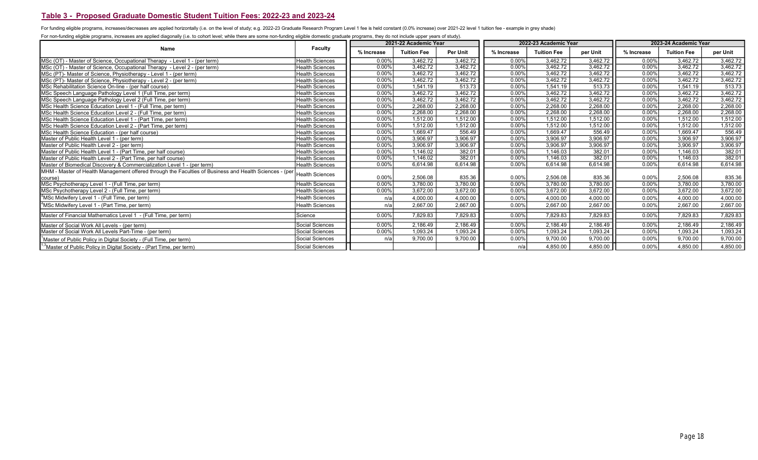### Table 3 - Proposed Graduate Domestic Student Tuition Fees: 2022-23 and 2023-24

For funding eligible programs, increases/decreases are applied horizontally (i.e. on the level of study; e.g. 2022-23 Graduate Research Program Level 1 fee is held constant (0.0% increase) over 2021-22 level 1 tuition fee

For non-funding eligible programs, increases are applied diagonally (i.e. to cohort level; while there are some non-funding eligible domestic graduate programs, they do not include upper years of study).

| .                                                                                                      |                        |            | 2021-22 Academic Year |          |            | 2022-23 Academic Year |          |            | 2023-24 Academic Year |          |
|--------------------------------------------------------------------------------------------------------|------------------------|------------|-----------------------|----------|------------|-----------------------|----------|------------|-----------------------|----------|
| Name                                                                                                   | Faculty                | % Increase | <b>Tuition Fee</b>    | Per Unit | % Increase | <b>Tuition Fee</b>    | per Unit | % Increase | <b>Tuition Fee</b>    | per Unit |
| MSc (OT) - Master of Science, Occupational Therapy - Level 1 - (per term)                              | <b>Health Sciences</b> | 0.00%      | 3,462.72              | 3,462.72 | 0.00%      | 3,462.72              | 3,462.72 | 0.00%      | 3,462.72              | 3,462.72 |
| MSc (OT) - Master of Science, Occupational Therapy - Level 2 - (per term)                              | <b>Health Sciences</b> | 0.00%      | 3,462.72              | 3,462.72 | 0.00%      | 3,462.72              | 3,462.72 | 0.00%      | 3,462.72              | 3,462.72 |
| MSc (PT)- Master of Science, Physiotherapy - Level 1 - (per term)                                      | <b>Health Sciences</b> | 0.00%      | 3.462.72              | 3,462.72 | 0.00%      | 3,462.72              | 3,462.72 | 0.00%      | 3,462.72              | 3,462.72 |
| MSc (PT)- Master of Science, Physiotherapy - Level 2 - (per term)                                      | <b>Health Sciences</b> | 0.00%      | 3.462.72              | 3.462.72 | 0.00%      | 3.462.72              | 3.462.72 | 0.00%      | 3.462.72              | 3,462.72 |
| MSc Rehabilitation Science On-line - (per half course)                                                 | <b>Health Sciences</b> | 0.00%      | 1.541.19              | 513.73   | 0.00%      | 1,541.19              | 513.73   | 0.00%      | 1.541.19              | 513.73   |
| MSc Speech Language Pathology Level 1 (Full Time, per term)                                            | <b>Health Sciences</b> | 0.00%      | 3.462.72              | 3,462.72 | 0.00%      | 3.462.72              | 3,462.72 | 0.00%      | 3.462.72              | 3,462.72 |
| MSc Speech Language Pathology Level 2 (Full Time, per term)                                            | <b>Health Sciences</b> | 0.00%      | 3,462.72              | 3,462.72 | 0.00%      | 3,462.72              | 3,462.72 | 0.00%      | 3,462.72              | 3,462.72 |
| MSc Health Science Education Level 1 - (Full Time, per term)                                           | <b>Health Sciences</b> | 0.00%      | 2.268.00              | 2.268.00 | 0.00%      | 2.268.00              | 2.268.00 | 0.00%      | 2.268.00              | 2,268.00 |
| MSc Health Science Education Level 2 - (Full Time, per term)                                           | <b>Health Sciences</b> | 0.00%      | 2.268.00              | 2,268.00 | 0.00%      | 2.268.00              | 2,268.00 | 0.00%      | 2,268.00              | 2,268.00 |
| MSc Health Science Education Level 1 - (Part Time, per term)                                           | <b>Health Sciences</b> | 0.00%      | 1.512.00              | 1,512.00 | 0.00%      | 1.512.00              | 1,512.00 | 0.00%      | 1.512.00              | 1,512.00 |
| MSc Health Science Education Level 2 - (Part Time, per term)                                           | <b>Health Sciences</b> | 0.00%      | 1,512.00              | 1,512.00 | 0.00%      | 1.512.00              | 1,512.00 | 0.00%      | 1.512.00              | 1,512.00 |
| MSc Health Science Education - (per half course)                                                       | Health Sciences        | 0.00%      | 1.669.47              | 556.49   | 0.00%      | 1,669.47              | 556.49   | 0.00%      | 1.669.47              | 556.49   |
| Master of Public Health Level 1 - (per term)                                                           | <b>Health Sciences</b> | 0.00%      | 3.906.97              | 3,906.97 | 0.00%      | 3,906.97              | 3,906.97 | 0.00%      | 3,906.97              | 3,906.97 |
| Master of Public Health Level 2 - (per term)                                                           | <b>Health Sciences</b> | 0.00%      | 3.906.97              | 3,906.97 | 0.00%      | 3,906.97              | 3,906.97 | 0.00%      | 3,906.97              | 3,906.97 |
| Master of Public Health Level 1 - (Part Time, per half course)                                         | <b>Health Sciences</b> | 0.00%      | 1,146.02              | 382.01   | 0.00%      | 1.146.03              | 382.01   | 0.00%      | 1.146.03              | 382.01   |
| Master of Public Health Level 2 - (Part Time, per half course)                                         | Health Sciences        | 0.00%      | 1.146.02              | 382.01   | 0.00%      | 1.146.03              | 382.01   | 0.00%      | 1.146.03              | 382.01   |
| Master of Biomedical Discovery & Commercialization Level 1 - (per term)                                | Health Sciences        | 0.00%      | 6.614.98              | 6,614.98 | 0.00%      | 6.614.98              | 6,614.98 | 0.00%      | 6,614.98              | 6,614.98 |
| MHM - Master of Health Management offered through the Faculties of Business and Health Sciences - (per | <b>Health Sciences</b> | 0.00%      | 2,506.08              | 835.36   | 0.00%      | 2,506.08              | 835.36   | 0.00%      | 2,506.08              | 835.36   |
| course)<br>MSc Psychotherapy Level 1 - (Full Time, per term)                                           | <b>Health Sciences</b> | 0.00%      | 3.780.00              | 3,780.00 | 0.00%      | 3,780.00              | 3,780.00 | 0.00%      | 3.780.00              | 3,780.00 |
| MSc Psychotherapy Level 2 - (Full Time, per term)                                                      | <b>Health Sciences</b> | 0.00%      | 3.672.00              | 3,672.00 | 0.00%      | 3.672.00              | 3,672.00 | 0.00%      | 3.672.00              | 3,672.00 |
| <sup>4</sup> MSc Midwifery Level 1 - (Full Time, per term)                                             | Health Sciences        | n/a        | 4.000.00              | 4,000.00 | 0.00%      | 4.000.00              | 4,000.00 | 0.00%      | 4.000.00              | 4,000.00 |
| <sup>4</sup> MSc Midwifery Level 1 - (Part Time, per term)                                             | <b>Health Sciences</b> | n/a        | 2,667.00              | 2,667.00 | 0.00%      | 2,667.00              | 2,667.00 | 0.00%      | 2,667.00              | 2,667.00 |
| Master of Financial Mathematics Level 1 - (Full Time, per term)                                        | <b>Science</b>         | 0.00%      | 7.829.83              | 7,829.83 | 0.00%      | 7.829.83              | 7,829.83 | 0.00%      | 7.829.83              | 7,829.83 |
| Master of Social Work All Levels - (per term)                                                          | Social Sciences        | 0.00%      | 2.186.49              | 2,186.49 | 0.00%      | 2.186.49              | 2.186.49 | 0.00%      | 2.186.49              | 2.186.49 |
| Master of Social Work All Levels Part-Time - (per term)                                                | Social Sciences        | 0.00%      | 1,093.24              | 1,093.24 | 0.00%      | 1,093.24              | 1,093.24 | 0.00%      | 1,093.24              | 1,093.24 |
| <sup>1</sup> Master of Public Policy in Digital Society - (Full Time, per term)                        | Social Sciences        | n/a        | 9,700.00              | 9,700.00 | 0.00%      | 9,700.00              | 9,700.00 | 0.00%      | 9,700.00              | 9,700.00 |
| <sup>1,3</sup> Master of Public Policy in Digital Society - (Part Time, per term)                      | Social Sciences        |            |                       |          | n/a        | 4.850.00              | 4,850.00 | 0.00%      | 4.850.00              | 4,850.00 |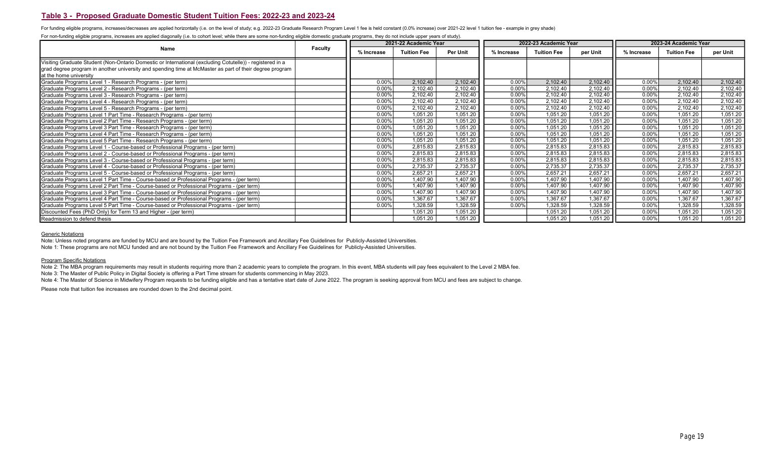### Table 3 - Proposed Graduate Domestic Student Tuition Fees: 2022-23 and 2023-24

For funding eligible programs, increases/decreases are applied horizontally (i.e. on the level of study; e.g. 2022-23 Graduate Research Program Level 1 fee is held constant (0.0% increase) over 2021-22 level 1 tuition fee

For non-funding eligible programs, increases are applied diagonally (i.e. to cohort level; while there are some non-funding eligible domestic graduate programs, they do not include upper years of study).

|                                                                                                                                                                                                                                                |                |            | 2021-22 Academic Year |          |            | 2022-23 Academic Year |          | 2023-24 Academic Year |                    |          |
|------------------------------------------------------------------------------------------------------------------------------------------------------------------------------------------------------------------------------------------------|----------------|------------|-----------------------|----------|------------|-----------------------|----------|-----------------------|--------------------|----------|
| Name                                                                                                                                                                                                                                           | <b>Faculty</b> | % Increase | <b>Tuition Fee</b>    | Per Unit | % Increase | <b>Tuition Fee</b>    | per Unit | % Increase            | <b>Tuition Fee</b> | per Unit |
| Visiting Graduate Student (Non-Ontario Domestic or International (excluding Cotutelle)) - registered in a<br>grad degree program in another university and spending time at McMaster as part of their degree program<br>at the home university |                |            |                       |          |            |                       |          |                       |                    |          |
| Graduate Programs Level 1 - Research Programs - (per term)                                                                                                                                                                                     |                | 0.00%      | 2,102.40              | 2,102.40 | 0.00%      | 2,102.40              | 2,102.40 | 0.00%                 | 2,102.40           | 2,102.40 |
| Graduate Programs Level 2 - Research Programs - (per term)                                                                                                                                                                                     |                | 0.00%      | 2,102.40              | 2,102.40 | 0.00%      | 2,102.40              | 2,102.40 | 0.00%                 | 2.102.40           | 2,102.40 |
| Graduate Programs Level 3 - Research Programs - (per term)                                                                                                                                                                                     |                | 0.00%      | 2,102.40              | 2,102.40 | 0.00%      | 2,102.40              | 2,102.40 | 0.00%                 | 2,102.40           | 2,102.40 |
| Graduate Programs Level 4 - Research Programs - (per term)                                                                                                                                                                                     |                | 0.00%      | 2,102.40              | 2,102.40 | 0.00%      | 2,102.40              | 2,102.40 | 0.00%                 | 2,102.40           | 2,102.40 |
| Graduate Programs Level 5 - Research Programs - (per term)                                                                                                                                                                                     |                | 0.00%      | 2,102.40              | 2,102.40 | 0.00%      | 2,102.40              | 2,102.40 | 0.00%                 | 2,102.40           | 2,102.40 |
| Graduate Programs Level 1 Part Time - Research Programs - (per term)                                                                                                                                                                           |                | 0.00%      | 1,051.20              | 1,051.20 | 0.00%      | 1,051.20              | 1,051.20 | 0.00%                 | 1.051.20           | 1,051.20 |
| Graduate Programs Level 2 Part Time - Research Programs - (per term)                                                                                                                                                                           |                | 0.00%      | 1,051.20              | 1,051.20 | 0.00%      | 1,051.20              | 1,051.20 | 0.00%                 | 1,051.20           | 1,051.20 |
| Graduate Programs Level 3 Part Time - Research Programs - (per term)                                                                                                                                                                           |                | 0.00%      | 1,051.20              | 1,051.20 | 0.00%      | 1,051.20              | 1,051.20 | 0.00%                 | 1.051.20           | 1,051.20 |
| Graduate Programs Level 4 Part Time - Research Programs - (per term)                                                                                                                                                                           |                | 0.00%      | 1,051.20              | 1,051.20 | 0.00%      | 1,051.20              | 1,051.20 | 0.00%                 | 1,051.20           | 1,051.20 |
| Graduate Programs Level 5 Part Time - Research Programs - (per term)                                                                                                                                                                           |                | 0.00%      | 1,051.20              | 1,051.20 | 0.00%      | 1,051.20              | 1,051.20 | 0.00%                 | 1,051.20           | 1,051.20 |
| Graduate Programs Level 1 - Course-based or Professional Programs - (per term)                                                                                                                                                                 |                | 0.00%      | 2,815.83              | 2,815.83 | 0.00%      | 2,815.83              | 2,815.83 | 0.00%                 | 2,815.83           | 2,815.83 |
| Graduate Programs Level 2 - Course-based or Professional Programs - (per term)                                                                                                                                                                 |                | 0.00%      | 2,815.83              | 2,815.83 | 0.00%      | 2,815.83              | 2,815.83 | 0.00%                 | 2,815.83           | 2,815.83 |
| Graduate Programs Level 3 - Course-based or Professional Programs - (per term)                                                                                                                                                                 |                | 0.00%      | 2,815.83              | 2,815.83 | 0.00%      | 2,815.83              | 2,815.83 | 0.00%                 | 2,815.83           | 2,815.83 |
| Graduate Programs Level 4 - Course-based or Professional Programs - (per term)                                                                                                                                                                 |                | 0.00%      | 2,735.37              | 2,735.37 | 0.00%      | 2,735.37              | 2,735.37 | 0.00%                 | 2,735.37           | 2,735.37 |
| Graduate Programs Level 5 - Course-based or Professional Programs - (per term)                                                                                                                                                                 |                | 0.00%      | 2,657.21              | 2,657.21 | 0.00%      | 2,657.21              | 2,657.21 | 0.00%                 | 2,657.21           | 2,657.21 |
| Graduate Programs Level 1 Part Time - Course-based or Professional Programs - (per term)                                                                                                                                                       |                | 0.00%      | 1.407.90              | 1,407.90 | 0.00%      | 1,407.90              | 1,407.90 | 0.00%                 | 1,407.90           | 1,407.90 |
| Graduate Programs Level 2 Part Time - Course-based or Professional Programs - (per term)                                                                                                                                                       |                | $0.00\%$   | 1.407.90              | 1,407.90 | 0.00%      | 1.407.90              | 1.407.90 | 0.00%                 | 1.407.90           | 1,407.90 |
| Graduate Programs Level 3 Part Time - Course-based or Professional Programs - (per term)                                                                                                                                                       |                | 0.00%      | 1.407.90              | 1,407.90 | 0.00%      | 1,407.90              | 1,407.90 | 0.00%                 | 1.407.90           | 1,407.90 |
| Graduate Programs Level 4 Part Time - Course-based or Professional Programs - (per term)                                                                                                                                                       |                | $0.00\%$   | 1.367.67              | 1.367.67 | 0.00%      | 1.367.67              | 1.367.67 | 0.00%                 | 1.367.67           | 1,367.67 |
| Graduate Programs Level 5 Part Time - Course-based or Professional Programs - (per term)                                                                                                                                                       |                | 0.00%      | 1,328.59              | 1,328.59 | 0.00%      | 1,328.59              | ,328.59  | 0.00%                 | 1.328.59           | 1,328.59 |
| Discounted Fees (PhD Only) for Term 13 and Higher - (per term)                                                                                                                                                                                 |                |            | 1,051.20              | 1,051.20 |            | 1,051.20              | 1,051.20 | 0.00%                 | 1,051.20           | 1,051.20 |
| Readmission to defend thesis                                                                                                                                                                                                                   |                |            | 1,051.20              | 1,051.20 |            | 1,051.20              | 1,051.20 | 0.00%                 | 1,051.20           | 1,051.20 |

#### **Generic Notations**

Note 1: These programs are not MCU funded and are not bound by the Tuition Fee Framework and Ancillary Fee Guidelines for Publicly-Assisted Universities. Note: Unless noted programs are funded by MCU and are bound by the Tuition Fee Framework and Ancillary Fee Guidelines for Publicly-Assisted Universities.

Program Specific Notations

Note 2: The MBA program requirements may result in students requiring more than 2 academic years to complete the program. In this event, MBA students will pay fees equivalent to the Level 2 MBA fee.

Note 3: The Master of Public Policy in Digital Society is offering a Part Time stream for students commencing in May 2023.

Note 4: The Master of Science in Midwifery Program requests to be funding eligible and has a tentative start date of June 2022. The program is seeking approval from MCU and fees are subject to change.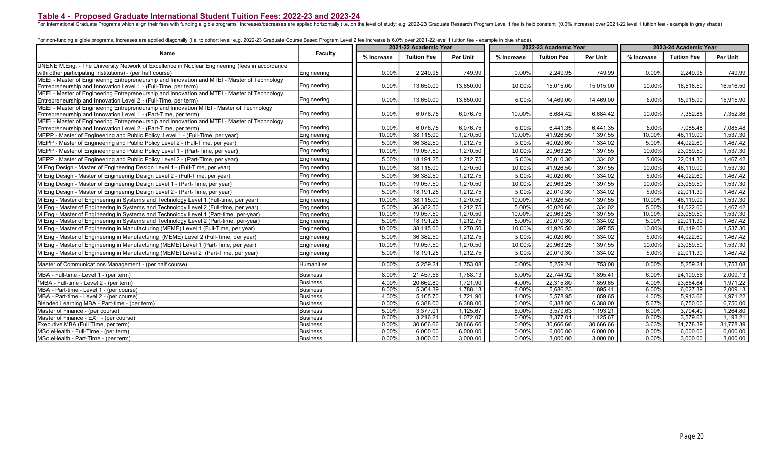For International Graduate Programs which align their fees with funding eligible programs, increases/decreases are applied horizontally (i.e. on the level of study; e.g. 2022-23 Graduate Research Program Level 1 fee is hel

| For non-funding eligible programs, increases are applied diagonally (i.e. to cohort level; e.g. 2022-23 Graduate Course Based Program Level 2 fee increase is 6.0% over 2021-22 level 1 tuition fee - example in blue shade). |  |  |
|-------------------------------------------------------------------------------------------------------------------------------------------------------------------------------------------------------------------------------|--|--|
|                                                                                                                                                                                                                               |  |  |

|                                                                                                |                 | 2021-22 Academic Year |                    |                 |            | 2022-23 Academic Year |           | 2023-24 Academic Year |                    |           |
|------------------------------------------------------------------------------------------------|-----------------|-----------------------|--------------------|-----------------|------------|-----------------------|-----------|-----------------------|--------------------|-----------|
| Name                                                                                           | <b>Faculty</b>  | % Increase            | <b>Tuition Fee</b> | <b>Per Unit</b> | % Increase | <b>Tuition Fee</b>    | Per Unit  | % Increase            | <b>Tuition Fee</b> | Per Unit  |
| UNENE M.Eng. - The University Network of Excellence in Nuclear Engineering (fees in accordance |                 |                       |                    |                 |            |                       |           |                       |                    |           |
| with other participating institutions) - (per half course)                                     | Engineering     | 0.00%                 | 2,249.95           | 749.99          | 0.00%      | 2,249.95              | 749.99    | 0.00%                 | 2,249.95           | 749.99    |
| MEEI - Master of Engineering Entrepreneurship and Innovation and MTEI - Master of Technology   |                 |                       |                    |                 |            |                       |           |                       |                    |           |
| Entrepreneurship and Innovation Level 1 - (Full-Time, per term)                                | Engineering     | 0.00%                 | 13,650.00          | 13,650.00       | 10.00%     | 15,015.00             | 15,015.00 | 10.00%                | 16,516.50          | 16,516.50 |
| MEEI - Master of Engineering Entrepreneurship and Innovation and MTEI - Master of Technology   |                 |                       |                    |                 |            |                       |           |                       |                    |           |
| Entrepreneurship and Innovation Level 2 - (Full-Time, per term)                                | Engineering     | 0.00%                 | 13,650.00          | 13,650.00       | 6.00%      | 14,469.00             | 14,469.00 | 6.00%                 | 15,915.90          | 15,915.90 |
| MEEI - Master of Engineering Entrepreneurship and Innovation MTEI - Master of Technology       |                 |                       |                    |                 |            |                       |           |                       |                    |           |
| Entrepreneurship and Innovation Level 1 - (Part-Time, per term)                                | Engineering     | 0.00%                 | 6,076.75           | 6,076.75        | 10.00%     | 6,684.42              | 6,684.42  | 10.00%                | 7,352.86           | 7,352.86  |
| MEEI - Master of Engineering Entrepreneurship and Innovation and MTEI - Master of Technology   |                 |                       |                    |                 |            |                       |           |                       |                    |           |
| Entrepreneurship and Innovation Level 2 - (Part-Time, per term)                                | Engineering     | 0.00%                 | 6,076.75           | 6,076.75        | 6.00%      | 6,441.35              | 6,441.35  | 6.00%                 | 7,085.48           | 7,085.48  |
| MEPP - Master of Engineering and Public Policy Level 1 - (Full-Time, per year)                 | Engineering     | 10.00%                | 38,115.00          | 1,270.50        | 10.00%     | 41,926.50             | 1,397.55  | 10.00%                | 46,119.00          | 1,537.30  |
| MEPP - Master of Engineering and Public Policy Level 2 - (Full-Time, per year)                 | Engineering     | 5.00%                 | 36,382.50          | 1,212.75        | 5.00%      | 40,020.60             | 1,334.02  | 5.00%                 | 44,022.60          | 1,467.42  |
| MEPP - Master of Engineering and Public Policy Level 1 - (Part-Time, per year)                 | Engineering     | 10.00%                | 19,057.50          | 1,270.50        | 10.00%     | 20,963.25             | 1,397.55  | 10.00%                | 23,059.50          | 1,537.30  |
| MEPP - Master of Engineering and Public Policy Level 2 - (Part-Time, per year)                 | Engineering     | 5.00%                 | 18,191.25          | 1,212.75        | 5.00%      | 20.010.30             | 1,334.02  | 5.00%                 | 22,011.30          | 1,467.42  |
| M Eng Design - Master of Engineering Design Level 1 - (Full-Time, per year)                    | Engineering     | 10.00%                | 38,115.00          | 1,270.50        | 10.00%     | 41,926.50             | 1,397.55  | 10.00%                | 46,119.00          | 1,537.30  |
| M Eng Design - Master of Engineering Design Level 2 - (Full-Time, per year)                    | Engineering     | 5.00%                 | 36,382.50          | 1,212.75        | 5.00%      | 40.020.60             | 1,334.02  | 5.00%                 | 44,022.60          | 1,467.42  |
| M Eng Design - Master of Engineering Design Level 1 - (Part-Time, per year)                    | Engineering     | 10.00%                | 19,057.50          | 1,270.50        | 10.00%     | 20,963.25             | 1,397.55  | 10.00%                | 23,059.50          | 1,537.30  |
| M Eng Design - Master of Engineering Design Level 2 - (Part-Time, per year)                    | Engineering     | 5.00%                 | 18,191.25          | 1,212.75        | 5.00%      | 20,010.30             | 1,334.02  | 5.00%                 | 22,011.30          | 1,467.42  |
| M Eng - Master of Engineering in Systems and Technology Level 1 (Full-time, per year)          | Engineering     | 10.00%                | 38,115.00          | 1,270.50        | 10.00%     | 41,926.50             | 1,397.55  | 10.00%                | 46,119.00          | 1,537.30  |
| M Eng - Master of Engineering in Systems and Technology Level 2 (Full-time, per year)          | Engineering     | 5.00%                 | 36,382.50          | 1,212.75        | 5.00%      | 40,020.60             | 1,334.02  | 5.00%                 | 44,022.60          | 1,467.42  |
| M Eng - Master of Engineering in Systems and Technology Level 1 (Part-time, per-year)          | Engineering     | 10.00%                | 19,057.50          | 1,270.50        | 10.00%     | 20,963.25             | 1,397.55  | 10.00%                | 23,059.50          | 1,537.30  |
| M Eng - Master of Engineering in Systems and Technology Level 2 (Part-time, per-year)          | Engineering     | 5.00%                 | 18,191.25          | 1,212.75        | 5.00%      | 20,010.30             | 1,334.02  | 5.00%                 | 22,011.30          | 1,467.42  |
| M Eng - Master of Engineering in Manufacturing (MEME) Level 1 (Full-Time, per year)            | Engineering     | 10.00%                | 38,115.00          | 1,270.50        | 10.00%     | 41,926.50             | 1,397.55  | 10.00%                | 46,119.00          | 1,537.30  |
| M Eng - Master of Engineering in Manufacturing (MEME) Level 2 (Full-Time, per year)            | Engineering     | 5.00%                 | 36,382.50          | 1,212.75        | 5.00%      | 40,020.60             | 1,334.02  | 5.00%                 | 44,022.60          | 1,467.42  |
| M Eng - Master of Engineering in Manufacturing (MEME) Level 1 (Part-Time, per year)            | Engineering     | 10.00%                | 19.057.50          | 1,270.50        | 10.00%     | 20.963.25             | 1,397.55  | 10.00%                | 23.059.50          | 1,537.30  |
| M Eng - Master of Engineering in Manufacturing (MEME) Level 2 (Part-Time, per year)            | Engineering     | 5.00%                 | 18,191.25          | 1,212.75        | 5.00%      | 20,010.30             | 1,334.02  | 5.00%                 | 22,011.30          | 1,467.42  |
| Master of Communications Management - (per half course)                                        | Humanities      | 0.00%                 | 5,259.24           | 1,753.08        | 0.00%      | 5,259.24              | 1,753.08  | 0.00%                 | 5,259.24           | 1,753.08  |
| MBA - Full-time - Level 1 - (per term)                                                         | <b>Business</b> | 8.00%                 | 21,457.56          | 1,788.13        | 6.00%      | 22,744.92             | 1,895.41  | 6.00%                 | 24,109.56          | 2,009.13  |
| <sup>1</sup> MBA - Full-time - Level 2 - (per term)                                            | Business        | 4.00%                 | 20,662.80          | 1,721.90        | 4.00%      | 22,315.80             | 1,859.65  | 4.00%                 | 23,654.64          | 1,971.22  |
| MBA - Part-time - Level 1 - (per course)                                                       | Business        | 8.00%                 | 5,364.39           | 1,788.13        | 6.00%      | 5,686.23              | 1,895.41  | 6.00%                 | 6,027.39           | 2,009.13  |
| MBA - Part-time - Level 2 - (per course)                                                       | Business        | 4.00%                 | 5,165.70           | 1,721.90        | 4.00%      | 5,578.95              | 1,859.65  | 4.00%                 | 5,913.66           | 1,971.22  |
| Blended Learning MBA - Part-time - (per term)                                                  | Business        | 0.00%                 | 6,388.00           | 6,388.00        | 0.00%      | 6,388.00              | 6,388.00  | 5.67%                 | 6,750.00           | 6,750.00  |
| Master of Finance - (per course)                                                               | Business        | 5.00%                 | 3,377.01           | 1,125.67        | 6.00%      | 3,579.63              | 1,193.21  | 6.00%                 | 3,794.40           | 1,264.80  |
| Master of Finance - EXT - (per course)                                                         | Business        | 0.00%                 | 3,216.21           | 1,072.07        | 0.00%      | 3,377.01              | 1,125.67  | 0.00%                 | 3,579.63           | 1,193.21  |
| Executive MBA (Full Time, per term)                                                            | Business        | 0.00%                 | 30,666.66          | 30,666.66       | 0.00%      | 30,666.66             | 30,666.66 | 3.63%                 | 31,778.39          | 31,778.39 |
| MSc eHealth - Full-Time - (per term)                                                           | Business        | 0.00%                 | 6,000.00           | 6,000.00        | 0.00%      | 6,000.00              | 6,000.00  | 0.00%                 | 6,000.00           | 6,000.00  |
| MSc eHealth - Part-Time - (per term)                                                           | Business        | 0.00%                 | 3,000.00           | 3,000.00        | 0.00%      | 3,000.00              | 3,000.00  | 0.00%                 | 3,000.00           | 3,000.00  |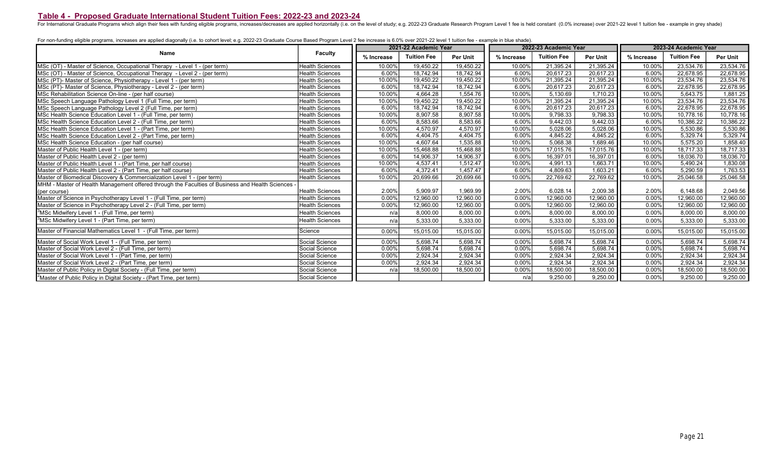For International Graduate Programs which align their fees with funding eligible programs, increases/decreases are applied horizontally (i.e. on the level of study; e.g. 2022-23 Graduate Research Program Level 1 fee is hel

For non-funding eligible programs, increases are applied diagonally (i.e. to cohort level; e.g. 2022-23 Graduate Course Based Program Level 2 fee increase is 6.0% over 2021-22 level 1 tuition fee - example in blue shade).

|                                                                                                 |                        |            | 2021-22 Academic Year |                 |            | 2022-23 Academic Year |           | 2023-24 Academic Year |                        |           |  |
|-------------------------------------------------------------------------------------------------|------------------------|------------|-----------------------|-----------------|------------|-----------------------|-----------|-----------------------|------------------------|-----------|--|
| Name                                                                                            | <b>Faculty</b>         | % Increase | <b>Tuition Fee</b>    | <b>Per Unit</b> | % Increase | <b>Tuition Fee</b>    | Per Unit  | % Increase            | <b>Tuition Fee</b>     | Per Unit  |  |
| IMSc (OT) - Master of Science, Occupational Therapy - Level 1 - (per term)                      | <b>Health Sciences</b> | 10.00%     | 19.450.22             | 19,450.22       | 10.00%     | 21.395.24             | 21,395.24 | 10.00%                | 23,534.76              | 23,534.76 |  |
| MSc (OT) - Master of Science, Occupational Therapy - Level 2 - (per term)                       | <b>Health Sciences</b> | 6.00%      | 18,742.94             | 18,742.94       | 6.00%      | 20,617.23             | 20,617.23 | 6.00%                 | 22,678.95              | 22,678.95 |  |
| MSc (PT)- Master of Science, Physiotherapy - Level 1 - (per term)                               | <b>Health Sciences</b> | 10.00%     | 19,450.22             | 19,450.22       | 10.00%     | 21,395.24             | 21,395.24 | 10.00%                | 23,534.76              | 23,534.76 |  |
| MSc (PT)- Master of Science, Physiotherapy - Level 2 - (per term)                               | <b>Health Sciences</b> | 6.00%      | 18,742.94             | 18,742.94       | 6.00%      | 20,617.23             | 20,617.23 | 6.00%                 | 22.678.95              | 22,678.95 |  |
| MSc Rehabilitation Science On-line - (per half course)                                          | <b>Health Sciences</b> | 10.00%     | 4.664.28              | 1,554.76        | 10.00%     | 5,130.69              | 1,710.23  | 10.00%                | 5.643.75               | 1,881.25  |  |
| MSc Speech Language Pathology Level 1 (Full Time, per term)                                     | <b>Health Sciences</b> | 10.00%     | 19,450.22             | 19,450.22       | 10.00%     | 21,395.24             | 21,395.24 | 10.00%                | 23,534.76              | 23,534.76 |  |
| MSc Speech Language Pathology Level 2 (Full Time, per term)                                     | <b>Health Sciences</b> | 6.00%      | 18,742.94             | 18,742.94       | 6.00%      | 20,617.23             | 20,617.23 | 6.00%                 | 22,678.95              | 22,678.95 |  |
| MSc Health Science Education Level 1 - (Full Time, per term)                                    | <b>Health Sciences</b> | 10.00%     | 8,907.58              | 8,907.58        | 10.00%     | 9,798.33              | 9,798.33  | 10.00%                | 10.778.16              | 10,778.16 |  |
| MSc Health Science Education Level 2 - (Full Time, per term)                                    | <b>Health Sciences</b> | 6.00%      | 8,583.66              | 8,583.66        | 6.00%      | 9,442.03              | 9,442.03  | 6.00%                 | 10,386.22              | 10,386.22 |  |
| MSc Health Science Education Level 1 - (Part Time, per term)                                    | <b>Health Sciences</b> | 10.00%     | 4,570.97              | 4,570.97        | 10.00%     | 5,028.06              | 5,028.06  | 10.00%                | 5,530.86               | 5,530.86  |  |
| MSc Health Science Education Level 2 - (Part Time, per term)                                    | <b>Health Sciences</b> | 6.00%      | 4,404.75              | 4,404.75        | 6.00%      | 4,845.22              | 4,845.22  | 6.00%                 | 5,329.74               | 5,329.74  |  |
| MSc Health Science Education - (per half course)                                                | <b>Health Sciences</b> | 10.00%     | 4,607.64              | 1,535.88        | 10.00%     | 5,068.38              | 1,689.46  | 10.00%                | 5,575.20               | 1,858.40  |  |
| Master of Public Health Level 1 - (per term)                                                    | <b>Health Sciences</b> | 10.00%     | 15,468.88             | 15,468.88       | 10.00%     | 17,015.76             | 17,015.76 | 10.00%                | 18.717.33              | 18,717.33 |  |
| Master of Public Health Level 2 - (per term)                                                    | <b>Health Sciences</b> | 6.00%      | 14,906.37             | 14,906.37       | 6.00%      | 16,397.01             | 16,397.01 | 6.00%                 | 18.036.70              | 18,036.70 |  |
| Master of Public Health Level 1 - (Part Time, per half course)                                  | <b>Health Sciences</b> | 10.00%     | 4,537.41              | 1,512.47        | 10.00%     | 4,991.13              | 1,663.71  | 10.00%                | 5.490.24               | 1,830.08  |  |
| Master of Public Health Level 2 - (Part Time, per half course)                                  | <b>Health Sciences</b> | 6.00%      | 4.372.41              | 1,457.47        | 6.00%      | 4.809.63              | 1.603.21  | 6.00%                 | 5.290.59               | 1,763.53  |  |
| Master of Biomedical Discovery & Commercialization Level 1 - (per term)                         | <b>Health Sciences</b> | 10.00%     | 20.699.66             | 20,699.66       | 10.00%     | 22.769.62             | 22,769.62 | 10.00%                | 25,046.58              | 25,046.58 |  |
| MHM - Master of Health Management offered through the Faculties of Business and Health Sciences |                        |            |                       |                 |            |                       |           |                       |                        |           |  |
| (per course)                                                                                    | Health Sciences        | 2.00%      | 5.909.97              | 1,969.99        | 2.00%      | 6.028.14              | 2,009.38  | 2.00%                 | 6,148.68               | 2,049.56  |  |
| Master of Science in Psychotherapy Level 1 - (Full Time, per term)                              | <b>Health Sciences</b> | 0.00%      | 12.960.00             | 12,960.00       | 0.00%      | 12.960.00             | 12,960.00 | 0.00%                 | 12.960.00              | 12,960.00 |  |
| Master of Science in Psychotherapy Level 2 - (Full Time, per term)                              | <b>Health Sciences</b> | 0.00%      | 12.960.00             | 12,960.00       | 0.00%      | 12,960.00             | 12,960.00 | 0.00%                 | 12,960.00              | 12,960.00 |  |
| <sup>3</sup> MSc Midwifery Level 1 - (Full Time, per term)                                      | <b>Health Sciences</b> | n/a        | 8,000.00              | 8,000.00        | 0.00%      | 8,000.00              | 8,000.00  | 0.00%                 | 8,000.00               | 8,000.00  |  |
| <sup>3</sup> MSc Midwifery Level 1 - (Part Time, per term)                                      | <b>Health Sciences</b> | n/a        | 5,333.00              | 5,333.00        | 0.00%      | 5,333.00              | 5,333.00  | 0.00%                 | 5.333.00               | 5,333.00  |  |
| Master of Financial Mathematics Level 1 - (Full Time, per term)                                 | Science                | 0.00%      | 15,015.00             | 15,015.00       | 0.00%      | 15,015.00             | 15,015.00 | 0.00%                 | $15,015.\overline{00}$ | 15,015.00 |  |
| Master of Social Work Level 1 - (Full Time, per term)                                           | Social Science         | 0.00%      | 5.698.74              | 5.698.74        | 0.00%      | 5.698.74              | 5.698.74  | 0.00%                 | 5.698.74               | 5,698.74  |  |
| Master of Social Work Level 2 - (Full Time, per term)                                           | Social Science         | 0.00%      | 5.698.74              | 5.698.74        | 0.00%      | 5.698.74              | 5.698.74  | 0.00%                 | 5.698.74               | 5,698.74  |  |
| Master of Social Work Level 1 - (Part Time, per term)                                           | Social Science         | 0.00%      | 2,924.34              | 2,924.34        | 0.00%      | 2,924.34              | 2,924.34  | 0.00%                 | 2,924.34               | 2,924.34  |  |
| Master of Social Work Level 2 - (Part Time, per term)                                           | Social Science         | 0.00%      | 2.924.34              | 2,924.34        | 0.00%      | 2,924.34              | 2,924.34  | 0.00%                 | 2,924.34               | 2,924.34  |  |
| Master of Public Policy in Digital Society - (Full Time, per term)                              | Social Science         | n/a        | 18,500.00             | 18,500.00       | 0.00%      | 18,500.00             | 18,500.00 | 0.00%                 | 18,500.00              | 18,500.00 |  |
| l <sup>2</sup> Master of Public Policy in Digital Society - (Part Time, per term)               | Social Science         |            |                       |                 | n/a        | 9,250.00              | 9,250.00  | 0.00%                 | 9,250.00               | 9,250.00  |  |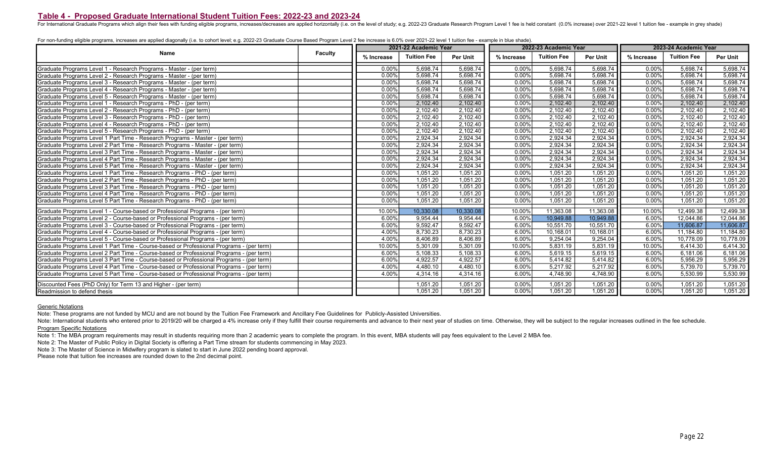For International Graduate Programs which align their fees with funding eligible programs, increases/decreases are applied horizontally (i.e. on the level of study; e.g. 2022-23 Graduate Research Program Level 1 fee is hel

For non-funding eligible programs, increases are applied diagonally (i.e. to cohort level; e.g. 2022-23 Graduate Course Based Program Level 2 fee increase is 6.0% over 2021-22 level 1 tuition fee - example in blue shade).

|                                                                                          |                |            | 2021-22 Academic Year |                 |            | 2022-23 Academic Year |           | 2023-24 Academic Year |                    |                 |  |
|------------------------------------------------------------------------------------------|----------------|------------|-----------------------|-----------------|------------|-----------------------|-----------|-----------------------|--------------------|-----------------|--|
| <b>Name</b>                                                                              | <b>Faculty</b> | % Increase | <b>Tuition Fee</b>    | <b>Per Unit</b> | % Increase | <b>Tuition Fee</b>    | Per Unit  | % Increase            | <b>Tuition Fee</b> | <b>Per Unit</b> |  |
| Graduate Programs Level 1 - Research Programs - Master - (per term)                      |                | 0.00%      | 5.698.74              | 5,698.74        | 0.00%      | 5,698.74              | 5,698.74  | 0.00%                 | 5.698.74           | 5,698.74        |  |
| Graduate Programs Level 2 - Research Programs - Master - (per term)                      |                | 0.00%      | 5,698.74              | 5,698.74        | 0.00%      | 5,698.74              | 5,698.74  | 0.00%                 | 5.698.74           | 5,698.74        |  |
| Graduate Programs Level 3 - Research Programs - Master - (per term)                      |                | 0.00%      | 5,698.74              | 5,698.74        | $0.00\%$   | 5,698.74              | 5,698.74  | 0.00%                 | 5,698.74           | 5,698.74        |  |
| Graduate Programs Level 4 - Research Programs - Master - (per term)                      |                | 0.00%      | 5,698.74              | 5,698.74        | 0.00%      | 5,698.74              | 5,698.74  | 0.00%                 | 5,698.74           | 5,698.74        |  |
| Graduate Programs Level 5 - Research Programs - Master - (per term)                      |                | 0.00%      | 5.698.74              | 5,698.74        | 0.00%      | 5.698.74              | 5.698.74  | 0.00%                 | 5.698.74           | 5,698.74        |  |
| Graduate Programs Level 1 - Research Programs - PhD - (per term)                         |                | 0.00%      | 2.102.40              | 2,102.40        | 0.00%      | 2.102.40              | 2.102.40  | 0.00%                 | 2.102.40           | 2,102.40        |  |
| Graduate Programs Level 2 - Research Programs - PhD - (per term)                         |                | 0.00%      | 2,102.40              | 2.102.40        | 0.00%      | 2,102.40              | 2.102.40  | 0.00%                 | 2,102.40           | 2,102.40        |  |
| Graduate Programs Level 3 - Research Programs - PhD - (per term)                         |                | 0.00%      | 2,102.40              | 2,102.40        | 0.00%      | 2,102.40              | 2,102.40  | 0.00%                 | 2,102.40           | 2,102.40        |  |
| Graduate Programs Level 4 - Research Programs - PhD - (per term)                         |                | 0.00%      | 2,102.40              | 2,102.40        | 0.00%      | 2,102.40              | 2,102.40  | 0.00%                 | 2,102.40           | 2,102.40        |  |
| Graduate Programs Level 5 - Research Programs - PhD - (per term)                         |                | 0.00%      | 2,102.40              | 2,102.40        | 0.00%      | 2,102.40              | 2,102.40  | 0.00%                 | 2,102.40           | 2,102.40        |  |
| Graduate Programs Level 1 Part Time - Research Programs - Master - (per term)            |                | 0.00%      | 2,924.34              | 2,924.34        | 0.00%      | 2,924.34              | 2,924.34  | 0.00%                 | 2,924.34           | 2,924.34        |  |
| Graduate Programs Level 2 Part Time - Research Programs - Master - (per term)            |                | 0.00%      | 2,924.34              | 2,924.34        | 0.00%      | 2,924.34              | 2,924.34  | 0.00%                 | 2,924.34           | 2,924.34        |  |
| Graduate Programs Level 3 Part Time - Research Programs - Master - (per term)            |                | 0.00%      | 2,924.34              | 2,924.34        | 0.00%      | 2,924.34              | 2,924.34  | 0.00%                 | 2,924.34           | 2,924.34        |  |
| Graduate Programs Level 4 Part Time - Research Programs - Master - (per term)            |                | 0.00%      | 2,924.34              | 2,924.34        | 0.00%      | 2,924.34              | 2,924.34  | 0.00%                 | 2,924.34           | 2,924.34        |  |
| Graduate Programs Level 5 Part Time - Research Programs - Master - (per term)            |                | 0.00%      | 2,924.34              | 2,924.34        | 0.00%      | 2,924.34              | 2,924.34  | 0.00%                 | 2,924.34           | 2,924.34        |  |
| Graduate Programs Level 1 Part Time - Research Programs - PhD - (per term)               |                | 0.00%      | 1,051.20              | 1,051.20        | 0.00%      | 1,051.20              | 1,051.20  | 0.00%                 | 1,051.20           | 1,051.20        |  |
| Graduate Programs Level 2 Part Time - Research Programs - PhD - (per term)               |                | 0.00%      | 1,051.20              | 1,051.20        | 0.00%      | 1,051.20              | 1,051.20  | 0.00%                 | 1,051.20           | 1,051.20        |  |
| Graduate Programs Level 3 Part Time - Research Programs - PhD - (per term)               |                | 0.00%      | 1,051.20              | 1,051.20        | 0.00%      | 1,051.20              | 1,051.20  | 0.00%                 | 1,051.20           | 1,051.20        |  |
| Graduate Programs Level 4 Part Time - Research Programs - PhD - (per term)               |                | 0.00%      | 1.051.20              | 1,051.20        | 0.00%      | 1.051.20              | 1,051.20  | 0.00%                 | 1.051.20           | 1,051.20        |  |
| Graduate Programs Level 5 Part Time - Research Programs - PhD - (per term)               |                | 0.00%      | 1,051.20              | 1,051.20        | $0.00\%$   | 1,051.20              | 1,051.20  | 0.00%                 | 1,051.20           | 1,051.20        |  |
| Graduate Programs Level 1 - Course-based or Professional Programs - (per term)           |                | 10.00%     | 10,330.08             | 10,330.08       | 10.00%     | 11,363.08             | 11,363.08 | 10.00%                | 12,499.38          | 12,499.38       |  |
| Graduate Programs Level 2 - Course-based or Professional Programs - (per term)           |                | 6.00%      | 9,954.44              | 9,954.44        | 6.00%      | 10,949.88             | 10,949.88 | 6.00%                 | 12,044.86          | 12,044.86       |  |
| Graduate Programs Level 3 - Course-based or Professional Programs - (per term)           |                | 6.00%      | 9,592.47              | 9,592.47        | 6.00%      | 10,551.70             | 10,551.70 | 6.00%                 | 11,606.87          | 11,606.87       |  |
| Graduate Programs Level 4 - Course-based or Professional Programs - (per term)           |                | 4.00%      | 8,730.23              | 8,730.23        | 6.00%      | 10,168.01             | 10,168.01 | 6.00%                 | 11,184.80          | 11,184.80       |  |
| Graduate Programs Level 5 - Course-based or Professional Programs - (per term)           |                | 4.00%      | 8.406.89              | 8,406.89        | 6.00%      | 9.254.04              | 9.254.04  | 6.00%                 | 10.778.09          | 10,778.09       |  |
| Graduate Programs Level 1 Part Time - Course-based or Professional Programs - (per term) |                | 10.00%     | 5,301.09              | 5,301.09        | 10.00%     | 5,831.19              | 5,831.19  | 10.00%                | 6,414.30           | 6,414.30        |  |
| Graduate Programs Level 2 Part Time - Course-based or Professional Programs - (per term) |                | 6.00%      | 5,108.33              | 5,108.33        | 6.00%      | 5,619.15              | 5,619.15  | 6.00%                 | 6,181.06           | 6,181.06        |  |
| Graduate Programs Level 3 Part Time - Course-based or Professional Programs - (per term) |                | 6.00%      | 4,922.57              | 4,922.57        | 6.00%      | 5,414.82              | 5,414.82  | 6.00%                 | 5,956.29           | 5,956.29        |  |
| Graduate Programs Level 4 Part Time - Course-based or Professional Programs - (per term) |                | 4.00%      | 4,480.10              | 4,480.10        | 6.00%      | 5,217.92              | 5,217.92  | 6.00%                 | 5,739.70           | 5,739.70        |  |
| Graduate Programs Level 5 Part Time - Course-based or Professional Programs - (per term) |                | 4.00%      | 4,314.16              | 4,314.16        | 6.00%      | 4,748.90              | 4,748.90  | 6.00%                 | 5,530.99           | 5,530.99        |  |
| Discounted Fees (PhD Only) for Term 13 and Higher - (per term)                           |                |            | 1,051.20              | 1,051.20        | 0.00%      | 1,051.20              | 1.051.20  | 0.00%                 | 1.051.20           | 1,051.20        |  |
| Readmission to defend thesis                                                             |                |            | 1,051.20              | 1,051.20        | 0.00%      | 1,051.20              | 1,051.20  | 0.00%                 | 1,051.20           | 1,051.20        |  |

#### **Generic Notations**

Note: These programs are not funded by MCU and are not bound by the Tuition Fee Framework and Ancillary Fee Guidelines for Publicly-Assisted Universities.

Note: International students who entered prior to 2019/20 will be charged a 4% increase only if they fulfill their course requirements and advance to their next year of studies on time. Otherwise, they will be subject to t

#### Program Specific Notations

Note 1: The MBA program requirements may result in students requiring more than 2 academic years to complete the program. In this event, MBA students will pay fees equivalent to the Level 2 MBA fee.

Note 2: The Master of Public Policy in Digital Society is offering a Part Time stream for students commencing in May 2023.

Note 3: The Master of Science in Midwifery program is slated to start in June 2022 pending board approval.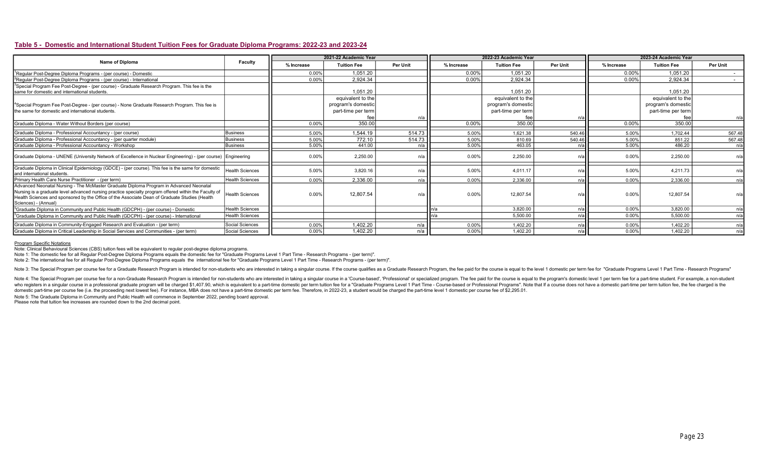#### Table 5 - Domestic and International Student Tuition Fees for Graduate Diploma Programs: 2022-23 and 2023-24

|                                                                                                                                                                                                                                                                                                                          |                        | 2021-22 Academic Year |                                                               |                 |            | 2022-23 Academic Year                                         |                 | 2023-24 Academic Year |                                                               |          |  |
|--------------------------------------------------------------------------------------------------------------------------------------------------------------------------------------------------------------------------------------------------------------------------------------------------------------------------|------------------------|-----------------------|---------------------------------------------------------------|-----------------|------------|---------------------------------------------------------------|-----------------|-----------------------|---------------------------------------------------------------|----------|--|
| <b>Name of Diploma</b>                                                                                                                                                                                                                                                                                                   | Faculty                | % Increase            | <b>Tuition Fee</b>                                            | <b>Per Unit</b> | % Increase | <b>Tuition Fee</b>                                            | <b>Per Unit</b> | % Increase            | <b>Tuition Fee</b>                                            | Per Unit |  |
| Regular Post-Degree Diploma Programs - (per course) - Domestic                                                                                                                                                                                                                                                           |                        | 0.00%                 | 1,051.20                                                      |                 | 0.00%      | 1,051.20                                                      |                 | $0.00\%$              | 1,051.20                                                      |          |  |
| <sup>2</sup> Regular Post-Degree Diploma Programs - (per course) - International                                                                                                                                                                                                                                         |                        | 0.00%                 | 2.924.34                                                      |                 | $0.00\%$   | 2.924.34                                                      |                 | $0.00\%$              | 2.924.34                                                      |          |  |
| <sup>3</sup> Special Program Fee Post-Degree - (per course) - Graduate Research Program. This fee is the<br>same for domestic and international students.                                                                                                                                                                |                        |                       | 1.051.20                                                      |                 |            | 1.051.20                                                      |                 |                       | 1.051.20                                                      |          |  |
| <sup>4</sup> Special Program Fee Post-Degree - (per course) - None Graduate Research Program. This fee is<br>the same for domestic and international students.                                                                                                                                                           |                        |                       | equivalent to the<br>program's domestic<br>part-time per term |                 |            | equivalent to the<br>program's domestic<br>part-time per term |                 |                       | equivalent to the<br>program's domestic<br>part-time per term |          |  |
|                                                                                                                                                                                                                                                                                                                          |                        |                       | fee                                                           | $n/\varepsilon$ |            |                                                               |                 |                       |                                                               | n/a      |  |
| Graduate Diploma - Water Without Borders (per course)                                                                                                                                                                                                                                                                    |                        | 0.00%                 | 350.00                                                        |                 | 0.00%      | 350.00                                                        |                 | 0.00%                 | 350.00                                                        |          |  |
| Graduate Diploma - Professional Accountancy - (per course)                                                                                                                                                                                                                                                               | <b>Business</b>        | 5.00%                 | 1.544.19                                                      | 514.73          | 5.00%      | 1.621.38                                                      | 540.46          | 5.00%                 | 1.702.44                                                      | 567.48   |  |
| Graduate Diploma - Professional Accountancy - (per quarter module)                                                                                                                                                                                                                                                       | <b>Business</b>        | 5.00%                 | 772.10                                                        | 514.73          | 5.00%      | 810.69                                                        | 540.46          | 5.00%                 | 851.22                                                        | 567.48   |  |
| Graduate Diploma - Professional Accountancy - Workshop                                                                                                                                                                                                                                                                   | <b>Business</b>        | 5.00%                 | 441.00                                                        |                 | 5.00%      | 463.05                                                        |                 | 5.00%                 | 486.20                                                        | n/al     |  |
| Graduate Diploma - UNENE (University Network of Excellence in Nuclear Engineering) - (per course) Engineering                                                                                                                                                                                                            |                        | 0.00%                 | 2.250.00                                                      | n/              | $0.00\%$   | 2,250.00                                                      |                 | 0.00%                 | 2,250.00                                                      | n/al     |  |
| Graduate Diploma in Clinical Epidemiology (GDCE) - (per course). This fee is the same for domestic<br>and international students                                                                                                                                                                                         | <b>Health Sciences</b> | 5.00%                 | 3,820.16                                                      | n/              | 5.00%      | 4.011.17                                                      | n/a             | 5.00%                 | 4.211.73                                                      | n/a      |  |
| Primary Health Care Nurse Practitioner - (per term)                                                                                                                                                                                                                                                                      | <b>Health Sciences</b> | 0.00%                 | 2.336.00                                                      | n/a             | $0.00\%$   | 2.336.00                                                      | n/a             | 0.00%                 | 2.336.00                                                      | n/a      |  |
| Advanced Neonatal Nursing - The McMaster Graduate Diploma Program in Advanced Neonatal<br>Nursing is a graduate level advanced nursing practice specialty program offered within the Faculty of<br>Health Sciences and sponsored by the Office of the Associate Dean of Graduate Studies (Health<br>Sciences) - (Annual) | <b>Health Sciences</b> | 0.00%                 | 12,807.54                                                     | $n/\varepsilon$ | 0.00%      | 12.807.54                                                     |                 | 0.00%                 | 12.807.54                                                     | n/al     |  |
| <sup>5</sup> Graduate Diploma in Community and Public Health (GDCPH) - (per course) - Domestic                                                                                                                                                                                                                           | <b>Health Sciences</b> |                       |                                                               |                 |            | 3.820.00                                                      | n/a             | 0.00%                 | 3,820.00                                                      | n/a      |  |
| <sup>1</sup> <sup>5</sup> Graduate Diploma in Community and Public Health (GDCPH) - (per course) - International                                                                                                                                                                                                         | <b>Health Sciences</b> |                       |                                                               |                 |            | 5.500.00                                                      | n/a             | 0.00%                 | 5.500.00                                                      | n/a      |  |
| Graduate Diploma in Community-Engaged Research and Evaluation - (per term)                                                                                                                                                                                                                                               | Social Sciences        | 0.00%                 | 1,402.20                                                      | $n/\varepsilon$ | 0.00%      | 1,402.20                                                      | $n/\varepsilon$ | 0.00%                 | 1,402.20                                                      | n/a      |  |
| Graduate Diploma in Critical Leadership in Social Services and Communities - (per term)                                                                                                                                                                                                                                  | Social Sciences        | 0.00%                 | 1,402.20                                                      | n/a             | $0.00\%$   | 1.402.20                                                      | n/a             | 0.00%                 | 1.402.20                                                      | n/a      |  |

#### Program Specific Notations

Note: Clinical Behavioural Sciences (CBS) tuition fees will be equivalent to regular post-degree diploma programs.

Note 1: The domestic fee for all Regular Post-Degree Diploma Programs equals the domestic fee for "Graduate Programs Level 1 Part Time - Research Programs - (per term)".

Note 2: The international fee for all Regular Post-Degree Diploma Programs equals the international fee for "Graduate Programs Level 1 Part Time - Research Programs - (per term)".

Note 3: The Special Program per course fee for a Graduate Research Program is intended for non-students who are interested in taking a singular course. If the course qualifies as a Graduate Research Program, the fee paid f

Note 4: The Special Program per course fee for a non-Graduate Research Program is intended for non-students who are interested in taking a singular course in a 'Course-based', 'Professional' or specialized program. The fee who registers in a singular course in a professional graduate program will be charged \$1,407.90, which is equivalent to a part-time domestic per term tuition fee for a "Graduate Programs Level 1 Part Time - Course-based or domestic part-time per course fee (i.e. the proceeding next lowest fee). For instance, MBA does not have a part-time domestic per term fee. Therefore, in 2022-23, a student would be charged the part-time level 1 domestic p

Note 5: The Graduate Diploma in Community and Public Health will commence in September 2022, pending board approval.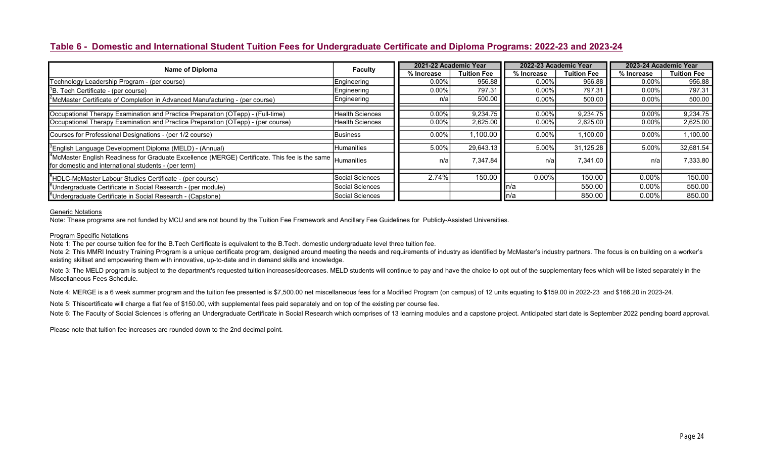| Name of Diploma                                                                                                                                                  | <b>Faculty</b>         | 2021-22 Academic Year |                    | 2022-23 Academic Year |                    | 2023-24 Academic Year |                    |  |
|------------------------------------------------------------------------------------------------------------------------------------------------------------------|------------------------|-----------------------|--------------------|-----------------------|--------------------|-----------------------|--------------------|--|
|                                                                                                                                                                  |                        | % Increase            | <b>Tuition Fee</b> | % Increase            | <b>Tuition Fee</b> | % Increase            | <b>Tuition Fee</b> |  |
| Technology Leadership Program - (per course)                                                                                                                     | <b>Engineering</b>     | $0.00\%$              | 956.88             | $0.00\%$              | 956.88             | $0.00\%$              | 956.88             |  |
| <sup>1</sup> B. Tech Certificate - (per course)                                                                                                                  | Engineering            | $0.00\%$              | 797.31             | $0.00\%$              | 797.31             | $0.00\%$              | 797.31             |  |
| <sup>2</sup> McMaster Certificate of Completion in Advanced Manufacturing - (per course)                                                                         | Engineering            | n/a                   | 500.00             | $0.00\%$              | 500.00             | $0.00\%$              | 500.00             |  |
| Occupational Therapy Examination and Practice Preparation (OTepp) - (Full-time)                                                                                  | <b>Health Sciences</b> | $0.00\%$              | 9,234.75           | $0.00\%$              | 9.234.75           | $0.00\%$              | 9.234.75           |  |
| Occupational Therapy Examination and Practice Preparation (OTepp) - (per course)                                                                                 | Health Sciences        | $0.00\%$              | 2,625.00           | $0.00\%$              | 2,625.00           | $0.00\%$              | 2,625.00           |  |
| Courses for Professional Designations - (per 1/2 course)                                                                                                         | <b>IBusiness</b>       | $0.00\%$              | ,100.00            | $0.00\%$              | 1,100.00           | $0.00\%$              | 1,100.00           |  |
| <sup>3</sup> English Language Development Diploma (MELD) - (Annual)                                                                                              | IHumanities            | $5.00\%$              | 29,643.13          | 5.00%                 | 31,125.28          | 5.00%                 | 32,681.54          |  |
| 4McMaster English Readiness for Graduate Excellence (MERGE) Certificate. This fee is the same Humanities<br>for domestic and international students - (per term) |                        | n/a                   | 7.347.84           | n/a                   | 7.341.00           | n/a                   | 7,333.80           |  |
| <sup>5</sup> HDLC-McMaster Labour Studies Certificate - (per course)                                                                                             | lSocial Sciences       | 2.74%                 | 150.00             | $0.00\%$              | 150.00             | $0.00\%$              | 150.00             |  |
| <sup>6</sup> Undergraduate Certificate in Social Research - (per module)                                                                                         | lSocial Sciences       |                       |                    | In/a                  | 550.00             | $0.00\%$              | 550.00             |  |
| <sup>o</sup> Undergraduate Certificate in Social Research - (Capstone)                                                                                           | lSocial Sciences       |                       |                    | In/a                  | 850.00             | $0.00\%$              | 850.00             |  |

### Table 6 - Domestic and International Student Tuition Fees for Undergraduate Certificate and Diploma Programs: 2022-23 and 2023-24

### Generic Notations

Note: These programs are not funded by MCU and are not bound by the Tuition Fee Framework and Ancillary Fee Guidelines for Publicly-Assisted Universities.

### Program Specific Notations

Note 1: The per course tuition fee for the B.Tech Certificate is equivalent to the B.Tech. domestic undergraduate level three tuition fee.

Note 2: This MMRI Industry Training Program is a unique certificate program, designed around meeting the needs and requirements of industry as identified by McMaster's industry partners. The focus is on building on a worke existing skillset and empowering them with innovative, up-to-date and in demand skills and knowledge.

Note 3: The MELD program is subject to the department's requested tuition increases/decreases. MELD students will continue to pay and have the choice to opt out of the supplementary fees which will be listed separately in Miscellaneous Fees Schedule.

Note 4: MERGE is a 6 week summer program and the tuition fee presented is \$7,500.00 net miscellaneous fees for a Modified Program (on campus) of 12 units equating to \$159.00 in 2022-23 and \$166.20 in 2023-24.

Note 5: Thiscertificate will charge a flat fee of \$150.00, with supplemental fees paid separately and on top of the existing per course fee.

Note 6: The Faculty of Social Sciences is offering an Undergraduate Certificate in Social Research which comprises of 13 learning modules and a capstone project. Anticipated start date is September 2022 pending board appro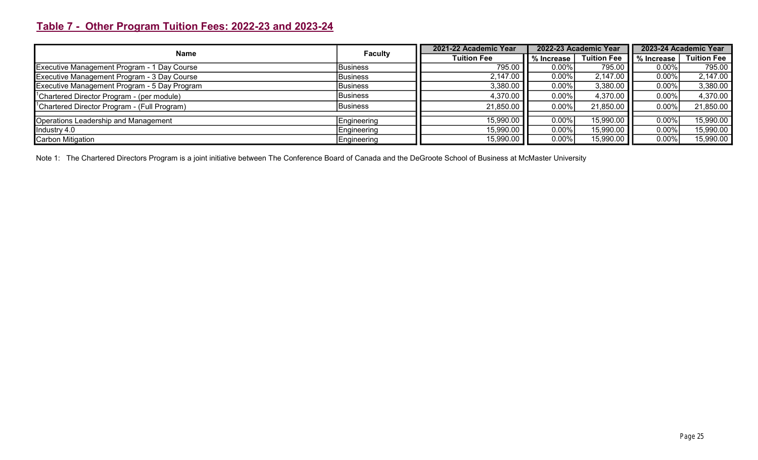# Table 7 - Other Program Tuition Fees: 2022-23 and 2023-24

| Name                                                     | <b>Faculty</b> | 2021-22 Academic Year |                | 2022-23 Academic Year | 2023-24 Academic Year |                    |  |
|----------------------------------------------------------|----------------|-----------------------|----------------|-----------------------|-----------------------|--------------------|--|
|                                                          |                | <b>Tuition Fee</b>    | I % Increase ' | <b>Tuition Fee</b>    | % Increase            | <b>Tuition Fee</b> |  |
| Executive Management Program - 1 Day Course              | IBusiness      | 795.00                | $0.00\%$       | 795.00                | $0.00\%$              | 795.00             |  |
| Executive Management Program - 3 Day Course              | Business_      | 2,147.00              | $0.00\%$       | 2,147.00              | $0.00\%$              | 2,147.00           |  |
| Executive Management Program - 5 Day Program             | Business       | 3,380.00              | $0.00\%$       | 3,380.00              | $0.00\%$              | 3,380.00           |  |
| , <sup>1</sup> Chartered Director Program - (per module) | Business       | 4,370.00              | $0.00\%$       | 4,370.00              | $0.00\%$              | 4,370.00           |  |
| <sup>1</sup> Chartered Director Program - (Full Program) | Business       | 21,850.00             | $0.00\%$       | 21,850.00             | $0.00\%$              | 21,850.00          |  |
|                                                          |                |                       |                |                       |                       |                    |  |
| Operations Leadership and Management                     | Engineering    | 15,990.00             | $0.00\%$       | 15,990.00             | $0.00\%$              | 15,990.00          |  |
| Industry 4.0                                             | Engineering    | 15,990.00             | $0.00\%$       | 15,990.00             | $0.00\%$              | 15,990.00          |  |
| Carbon Mitigation                                        | Engineering    | 15,990.00             | 0.00%          | 15,990.00             | $0.00\%$              | 15,990.00          |  |

Note 1: The Chartered Directors Program is a joint initiative between The Conference Board of Canada and the DeGroote School of Business at McMaster University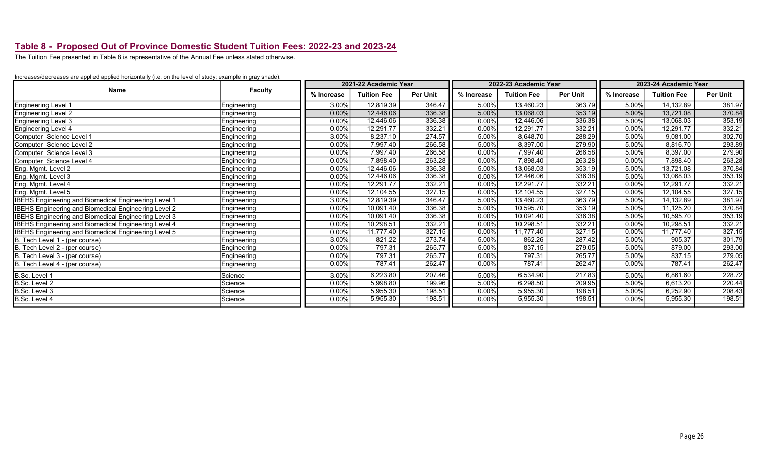### Table 8 - Proposed Out of Province Domestic Student Tuition Fees: 2022-23 and 2023-24

The Tuition Fee presented in Table 8 is representative of the Annual Fee unless stated otherwise.

### Increases/decreases are applied applied horizontally (i.e. on the level of study; example in gray shade).

|                                                            |                |            | 2021-22 Academic Year |                 |            | 2022-23 Academic Year |                 | 2023-24 Academic Year |                    |                 |  |
|------------------------------------------------------------|----------------|------------|-----------------------|-----------------|------------|-----------------------|-----------------|-----------------------|--------------------|-----------------|--|
| Name                                                       | <b>Faculty</b> | % Increase | <b>Tuition Fee</b>    | <b>Per Unit</b> | % Increase | <b>Tuition Fee</b>    | <b>Per Unit</b> | % Increase            | <b>Tuition Fee</b> | <b>Per Unit</b> |  |
| <b>Engineering Level 1</b>                                 | Engineering    | 3.00%      | 12,819.39             | 346.47          | 5.00%      | 13,460.23             | 363.79          | 5.00%                 | 14,132.89          | 381.97          |  |
| Engineering Level 2                                        | Engineering    | $0.00\%$   | 12,446.06             | 336.38          | 5.00%      | 13,068.03             | 353.19          | 5.00%                 | 13,721.08          | 370.84          |  |
| Engineering Level 3                                        | Engineering    | 0.00%      | 12,446.06             | 336.38          | 0.00%      | 12,446.06             | 336.38          | 5.00%                 | 13,068.03          | 353.19          |  |
| Engineering Level 4                                        | Engineering    | 0.00%      | 12,291.77             | 332.21          | 0.00%      | 12,291.77             | 332.21          | 0.00%                 | 12,291.77          | 332.21          |  |
| Computer Science Level 1                                   | Engineering    | 3.00%      | 8,237.10              | 274.57          | 5.00%      | 8,648.70              | 288.29          | 5.00%                 | 9,081.00           | 302.70          |  |
| Computer Science Level 2                                   | Enaineerina    | 0.00%      | 7,997.40              | 266.58          | 5.00%      | 8,397.00              | 279.90          | 5.00%                 | 8,816.70           | 293.89          |  |
| Computer Science Level 3                                   | Engineering    | $0.00\%$   | 7,997.40              | 266.58          | 0.00%      | 7,997.40              | 266.58          | 5.00%                 | 8,397.00           | 279.90          |  |
| Computer Science Level 4                                   | Engineering    | 0.00%      | 7,898.40              | 263.28          | $0.00\%$   | 7,898.40              | 263.28          | 0.00%                 | 7,898.40           | 263.28          |  |
| Eng. Mgmt. Level 2                                         | Engineering    | 0.00%      | 12,446.06             | 336.38          | 5.00%      | 13,068.03             | 353.19          | 5.00%                 | 13,721.08          | 370.84          |  |
| Eng. Mgmt. Level 3                                         | Enaineerina    | 0.00%      | 12,446.06             | 336.38          | 0.00%      | 12,446.06             | 336.38          | 5.00%                 | 13,068.03          | 353.19          |  |
| Eng. Mgmt. Level 4                                         | Engineering    | 0.00%      | 12,291.77             | 332.21          | 0.00%      | 12,291.77             | 332.21          | 0.00%                 | 12,291.77          | 332.21          |  |
| Eng. Mgmt. Level 5                                         | Engineering    | 0.00%      | 12,104.55             | 327.15          | $0.00\%$   | 12,104.55             | 327.15          | 0.00%                 | 12,104.55          | 327.15          |  |
| BEHS Engineering and Biomedical Engineering Level 1        | Engineering    | 3.00%      | 12,819.39             | 346.47          | 5.00%      | 13,460.23             | 363.79          | 5.00%                 | 14,132.89          | 381.97          |  |
| BEHS Engineering and Biomedical Engineering Level 2        | Engineering    | 0.00%      | 10,091.40             | 336.38          | 5.00%      | 10,595.70             | 353.19          | 5.00%                 | 11,125.20          | 370.84          |  |
| <b>BEHS Engineering and Biomedical Engineering Level 3</b> | Engineering    | 0.00%      | 10,091.40             | 336.38          | 0.00%      | 10,091.40             | 336.38          | 5.00%                 | 10,595.70          | 353.19          |  |
| <b>BEHS Engineering and Biomedical Engineering Level 4</b> | Engineering    | 0.00%      | 10,298.51             | 332.21          | 0.00%      | 10,298.51             | 332.21          | 0.00%                 | 10,298.51          | 332.21          |  |
| BEHS Engineering and Biomedical Engineering Level 5        | Enaineerina    | 0.00%      | 11,777.40             | 327.15          | $0.00\%$   | 11,777.40             | 327.15          | 0.00%                 | 11,777.40          | 327.15          |  |
| B. Tech Level 1 - (per course)                             | Engineering    | 3.00%      | 821.22                | 273.74          | 5.00%      | 862.26                | 287.42          | 5.00%                 | 905.37             | 301.79          |  |
| B. Tech Level 2 - (per course)                             | Engineering    | 0.00%      | 797.31                | 265.77          | 5.00%      | 837.15                | 279.05          | 5.00%                 | 879.00             | 293.00          |  |
| B. Tech Level 3 - (per course)                             | Enaineerina    | 0.00%      | 797.31                | 265.77          | $0.00\%$   | 797.31                | 265.77          | 5.00%                 | 837.15             | 279.05          |  |
| B. Tech Level 4 - (per course)                             | Engineering    | 0.00%      | 787.41                | 262.47          | 0.00%      | 787.41                | 262.47          | 0.00%                 | 787.41             | 262.47          |  |
| B.Sc. Level 1                                              | Science        | 3.00%      | 6,223.80              | 207.46          | 5.00%      | 6,534.90              | 217.83          | 5.00%                 | 6,861.60           | 228.72          |  |
| B.Sc. Level 2                                              | Science        | 0.00%      | 5,998.80              | 199.96          | 5.00%      | 6,298.50              | 209.95          | 5.00%                 | 6,613.20           | 220.44          |  |
| B.Sc. Level 3                                              | Science        | 0.00%      | 5,955.30              | 198.51          | 0.00%      | 5,955.30              | 198.51          | 5.00%                 | 6,252.90           | 208.43          |  |
| B.Sc. Level 4                                              | Science        | 0.00%      | 5,955.30              | 198.51          | 0.00%      | 5,955.30              | 198.51          | 0.00%                 | 5,955.30           | 198.51          |  |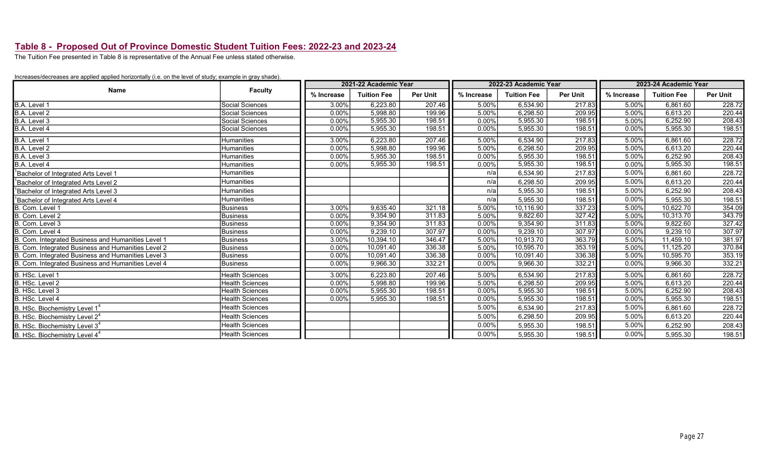# Table 8 - Proposed Out of Province Domestic Student Tuition Fees: 2022-23 and 2023-24

The Tuition Fee presented in Table 8 is representative of the Annual Fee unless stated otherwise.

|                                                    |                        |            | 2021-22 Academic Year |                 |            | 2022-23 Academic Year |                 | 2023-24 Academic Year |                    |                 |  |
|----------------------------------------------------|------------------------|------------|-----------------------|-----------------|------------|-----------------------|-----------------|-----------------------|--------------------|-----------------|--|
| <b>Name</b>                                        | <b>Faculty</b>         | % Increase | <b>Tuition Fee</b>    | <b>Per Unit</b> | % Increase | <b>Tuition Fee</b>    | <b>Per Unit</b> | % Increase            | <b>Tuition Fee</b> | <b>Per Unit</b> |  |
| B.A. Level 1                                       | Social Sciences        | 3.00%      | 6,223.80              | 207.46          | 5.00%      | 6,534.90              | 217.83          | 5.00%                 | 6,861.60           | 228.72          |  |
| B.A. Level 2                                       | Social Sciences        | 0.00%      | 5,998.80              | 199.96          | 5.00%      | 6,298.50              | 209.95          | 5.00%                 | 6,613.20           | 220.44          |  |
| B.A. Level 3                                       | Social Sciences        | 0.00%      | 5,955.30              | 198.51          | 0.00%      | 5,955.30              | 198.51          | 5.00%                 | 6,252.90           | 208.43          |  |
| B.A. Level 4                                       | Social Sciences        | 0.00%      | 5,955.30              | 198.51          | 0.00%      | 5,955.30              | 198.51          | 0.00%                 | 5,955.30           | 198.51          |  |
| B.A. Level 1                                       | <b>Humanities</b>      | 3.00%      | 6,223.80              | 207.46          | 5.00%      | 6,534.90              | 217.83          | 5.00%                 | 6,861.60           | 228.72          |  |
| B.A. Level 2                                       | <b>Humanities</b>      | 0.00%      | 5,998.80              | 199.96          | 5.00%      | 6,298.50              | 209.95          | 5.00%                 | 6,613.20           | 220.44          |  |
| B.A. Level 3                                       | <b>Humanities</b>      | 0.00%      | 5,955.30              | 198.51          | 0.00%      | 5,955.30              | 198.51          | 5.00%                 | 6,252.90           | 208.43          |  |
| B.A. Level 4                                       | <b>Humanities</b>      | $0.00\%$   | 5,955.30              | 198.51          | 0.00%      | 5,955.30              | 198.51          | 0.00%                 | 5,955.30           | 198.51          |  |
| Bachelor of Integrated Arts Level 1                | Humanities             |            |                       |                 | n/a        | 6,534.90              | 217.83          | 5.00%                 | 6,861.60           | 228.72          |  |
| 'Bachelor of Integrated Arts Level 2               | <b>Humanities</b>      |            |                       |                 | n/a        | 6,298.50              | 209.95          | 5.00%                 | 6,613.20           | 220.44          |  |
| Bachelor of Integrated Arts Level 3                | <b>Humanities</b>      |            |                       |                 | n/a        | 5,955.30              | 198.51          | 5.00%                 | 6,252.90           | 208.43          |  |
| Bachelor of Integrated Arts Level 4                | Humanities             |            |                       |                 | n/a        | 5,955.30              | 198.51          | 0.00%                 | 5,955.30           | 198.51          |  |
| B. Com. Level 1                                    | Business               | 3.00%      | 9,635.40              | 321.18          | 5.00%      | 10,116.90             | 337.23          | 5.00%                 | 10,622.70          | 354.09          |  |
| B. Com. Level 2                                    | Business               | 0.00%      | 9,354.90              | 311.83          | 5.00%      | 9,822.60              | 327.42          | 5.00%                 | 10,313.70          | 343.79          |  |
| B. Com. Level 3                                    | <b>IBusiness</b>       | $0.00\%$   | 9,354.90              | 311.83          | 0.00%      | 9,354.90              | 311.83          | 5.00%                 | 9,822.60           | 327.42          |  |
| B. Com. Level 4                                    | Business               | 0.00%      | 9,239.10              | 307.97          | 0.00%      | 9,239.10              | 307.97          | 0.00%                 | 9,239.10           | 307.97          |  |
| B. Com. Integrated Business and Humanities Level 1 | <b>Business</b>        | 3.00%      | 10,394.10             | 346.47          | 5.00%      | 10,913.70             | 363.79          | 5.00%                 | 11,459.10          | 381.97          |  |
| B. Com. Integrated Business and Humanities Level 2 | Business               | 0.00%      | 10,091.40             | 336.38          | 5.00%      | 10,595.70             | 353.19          | 5.00%                 | 11,125.20          | 370.84          |  |
| B. Com. Integrated Business and Humanities Level 3 | <b>Business</b>        | 0.00%      | 10.091.40             | 336.38          | 0.00%      | 10,091.40             | 336.38          | 5.00%                 | 10,595.70          | 353.19          |  |
| B. Com. Integrated Business and Humanities Level 4 | <b>Business</b>        | 0.00%      | 9,966.30              | 332.21          | 0.00%      | 9,966.30              | 332.21          | 0.00%                 | 9,966.30           | 332.21          |  |
| B. HSc. Level 1                                    | <b>Health Sciences</b> | 3.00%      | 6,223.80              | 207.46          | 5.00%      | 6,534.90              | 217.83          | 5.00%                 | 6,861.60           | 228.72          |  |
| B. HSc. Level 2                                    | <b>Health Sciences</b> | 0.00%      | 5,998.80              | 199.96          | 5.00%      | 6,298.50              | 209.95          | 5.00%                 | 6,613.20           | 220.44          |  |
| B. HSc. Level 3                                    | <b>Health Sciences</b> | 0.00%      | 5,955.30              | 198.51          | 0.00%      | 5,955.30              | 198.51          | 5.00%                 | 6,252.90           | 208.43          |  |
| B. HSc. Level 4                                    | Health Sciences        | 0.00%      | 5,955.30              | 198.51          | 0.00%      | 5,955.30              | 198.51          | 0.00%                 | 5,955.30           | 198.51          |  |
| B. HSc. Biochemistry Level 1 <sup>4</sup>          | <b>Health Sciences</b> |            |                       |                 | 5.00%      | 6,534.90              | 217.83          | 5.00%                 | 6,861.60           | 228.72          |  |
| B. HSc. Biochemistry Level $2^4$                   | Health Sciences        |            |                       |                 | 5.00%      | 6,298.50              | 209.95          | 5.00%                 | 6,613.20           | 220.44          |  |
| B. HSc. Biochemistry Level $34$                    | <b>Health Sciences</b> |            |                       |                 | 0.00%      | 5,955.30              | 198.51          | 5.00%                 | 6,252.90           | 208.43          |  |
| B. HSc. Biochemistry Level $44$                    | <b>Health Sciences</b> |            |                       |                 | 0.00%      | 5.955.30              | 198.51          | 0.00%                 | 5.955.30           | 198.51          |  |